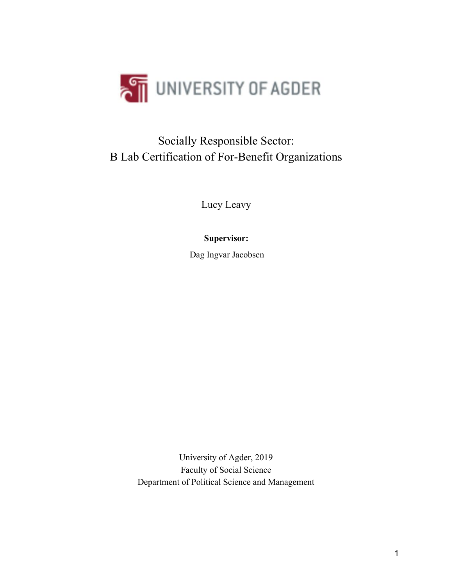

## Socially Responsible Sector: B Lab Certification of For-Benefit Organizations

Lucy Leavy

## **Supervisor:**

Dag Ingvar Jacobsen

University of Agder, 2019 Faculty of Social Science Department of Political Science and Management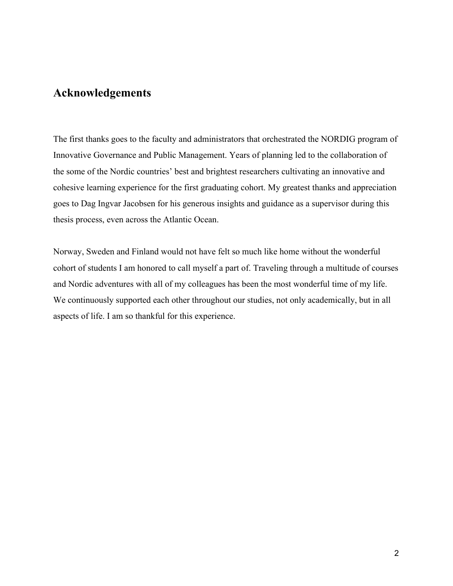## **Acknowledgements**

The first thanks goes to the faculty and administrators that orchestrated the NORDIG program of Innovative Governance and Public Management. Years of planning led to the collaboration of the some of the Nordic countries' best and brightest researchers cultivating an innovative and cohesive learning experience for the first graduating cohort. My greatest thanks and appreciation goes to Dag Ingvar Jacobsen for his generous insights and guidance as a supervisor during this thesis process, even across the Atlantic Ocean.

Norway, Sweden and Finland would not have felt so much like home without the wonderful cohort of students I am honored to call myself a part of. Traveling through a multitude of courses and Nordic adventures with all of my colleagues has been the most wonderful time of my life. We continuously supported each other throughout our studies, not only academically, but in all aspects of life. I am so thankful for this experience.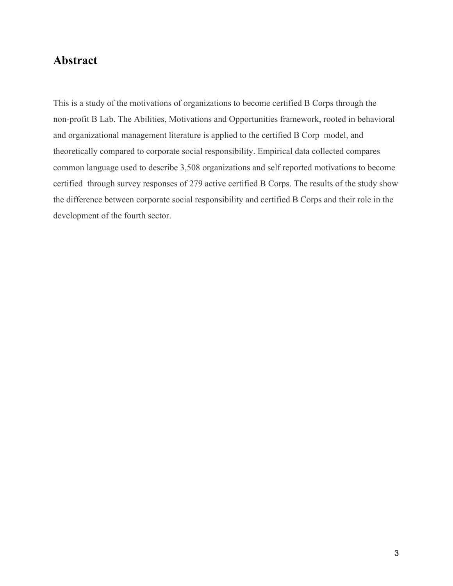## **Abstract**

This is a study of the motivations of organizations to become certified B Corps through the non-profit B Lab. The Abilities, Motivations and Opportunities framework, rooted in behavioral and organizational management literature is applied to the certified B Corp model, and theoretically compared to corporate social responsibility. Empirical data collected compares common language used to describe 3,508 organizations and self reported motivations to become certified through survey responses of 279 active certified B Corps. The results of the study show the difference between corporate social responsibility and certified B Corps and their role in the development of the fourth sector.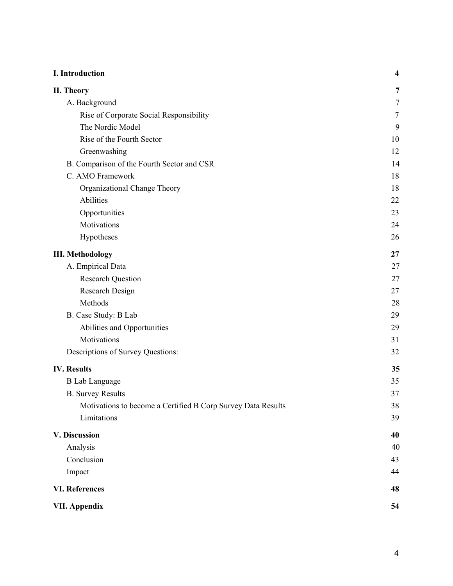| I. Introduction                                              | $\overline{\mathbf{4}}$ |
|--------------------------------------------------------------|-------------------------|
| II. Theory                                                   | 7                       |
| A. Background                                                | $\tau$                  |
| Rise of Corporate Social Responsibility                      | $\overline{7}$          |
| The Nordic Model                                             | 9                       |
| Rise of the Fourth Sector                                    | 10                      |
| Greenwashing                                                 | 12                      |
| B. Comparison of the Fourth Sector and CSR                   | 14                      |
| C. AMO Framework                                             | 18                      |
| Organizational Change Theory                                 | 18                      |
| Abilities                                                    | 22                      |
| Opportunities                                                | 23                      |
| Motivations                                                  | 24                      |
| Hypotheses                                                   | 26                      |
| <b>III. Methodology</b>                                      | 27                      |
| A. Empirical Data                                            | 27                      |
| <b>Research Question</b>                                     | 27                      |
| Research Design                                              | 27                      |
| Methods                                                      | 28                      |
| B. Case Study: B Lab                                         | 29                      |
| Abilities and Opportunities                                  | 29                      |
| Motivations                                                  | 31                      |
| Descriptions of Survey Questions:                            | 32                      |
| <b>IV.</b> Results                                           | 35                      |
| <b>B</b> Lab Language                                        | 35                      |
| <b>B.</b> Survey Results                                     | 37                      |
| Motivations to become a Certified B Corp Survey Data Results | 38                      |
| Limitations                                                  | 39                      |
| V. Discussion                                                | 40                      |
| Analysis                                                     | 40                      |
| Conclusion                                                   | 43                      |
| Impact                                                       | 44                      |
| <b>VI. References</b>                                        | 48                      |
| <b>VII. Appendix</b>                                         | 54                      |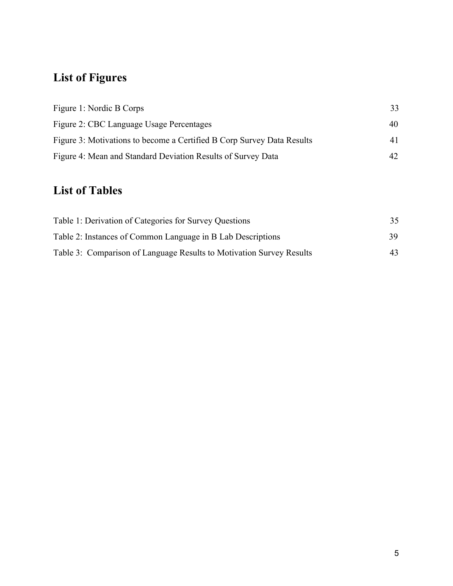# **List of Figures**

| Figure 1: Nordic B Corps                                               | 33 |
|------------------------------------------------------------------------|----|
| Figure 2: CBC Language Usage Percentages                               | 40 |
| Figure 3: Motivations to become a Certified B Corp Survey Data Results | 41 |
| Figure 4: Mean and Standard Deviation Results of Survey Data           |    |

## **List of Tables**

| Table 1: Derivation of Categories for Survey Questions               | 35 |
|----------------------------------------------------------------------|----|
| Table 2: Instances of Common Language in B Lab Descriptions          | 39 |
| Table 3: Comparison of Language Results to Motivation Survey Results | 43 |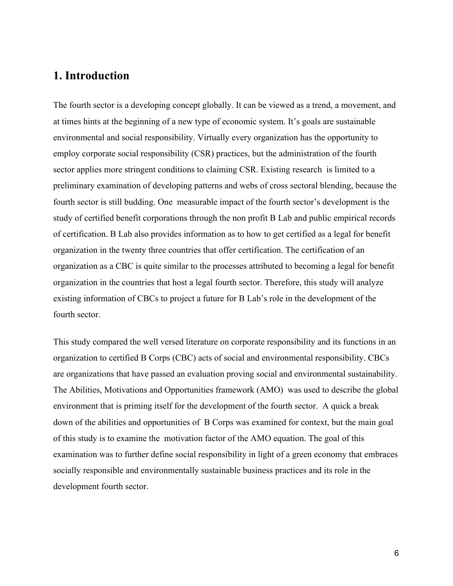## **1. Introduction**

The fourth sector is a developing concept globally. It can be viewed as a trend, a movement, and at times hints at the beginning of a new type of economic system. It's goals are sustainable environmental and social responsibility. Virtually every organization has the opportunity to employ corporate social responsibility (CSR) practices, but the administration of the fourth sector applies more stringent conditions to claiming CSR. Existing research is limited to a preliminary examination of developing patterns and webs of cross sectoral blending, because the fourth sector is still budding. One measurable impact of the fourth sector's development is the study of certified benefit corporations through the non profit B Lab and public empirical records of certification. B Lab also provides information as to how to get certified as a legal for benefit organization in the twenty three countries that offer certification. The certification of an organization as a CBC is quite similar to the processes attributed to becoming a legal for benefit organization in the countries that host a legal fourth sector. Therefore, this study will analyze existing information of CBCs to project a future for B Lab's role in the development of the fourth sector.

This study compared the well versed literature on corporate responsibility and its functions in an organization to certified B Corps (CBC) acts of social and environmental responsibility. CBCs are organizations that have passed an evaluation proving social and environmental sustainability. The Abilities, Motivations and Opportunities framework (AMO) was used to describe the global environment that is priming itself for the development of the fourth sector. A quick a break down of the abilities and opportunities of B Corps was examined for context, but the main goal of this study is to examine the motivation factor of the AMO equation. The goal of this examination was to further define social responsibility in light of a green economy that embraces socially responsible and environmentally sustainable business practices and its role in the development fourth sector.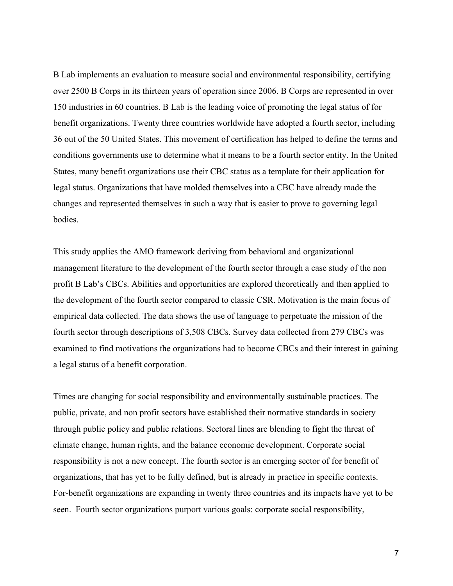B Lab implements an evaluation to measure social and environmental responsibility, certifying over 2500 B Corps in its thirteen years of operation since 2006. B Corps are represented in over 150 industries in 60 countries. B Lab is the leading voice of promoting the legal status of for benefit organizations. Twenty three countries worldwide have adopted a fourth sector, including 36 out of the 50 United States. This movement of certification has helped to define the terms and conditions governments use to determine what it means to be a fourth sector entity. In the United States, many benefit organizations use their CBC status as a template for their application for legal status. Organizations that have molded themselves into a CBC have already made the changes and represented themselves in such a way that is easier to prove to governing legal bodies.

This study applies the AMO framework deriving from behavioral and organizational management literature to the development of the fourth sector through a case study of the non profit B Lab's CBCs. Abilities and opportunities are explored theoretically and then applied to the development of the fourth sector compared to classic CSR. Motivation is the main focus of empirical data collected. The data shows the use of language to perpetuate the mission of the fourth sector through descriptions of 3,508 CBCs. Survey data collected from 279 CBCs was examined to find motivations the organizations had to become CBCs and their interest in gaining a legal status of a benefit corporation.

Times are changing for social responsibility and environmentally sustainable practices. The public, private, and non profit sectors have established their normative standards in society through public policy and public relations. Sectoral lines are blending to fight the threat of climate change, human rights, and the balance economic development. Corporate social responsibility is not a new concept. The fourth sector is an emerging sector of for benefit of organizations, that has yet to be fully defined, but is already in practice in specific contexts. For-benefit organizations are expanding in twenty three countries and its impacts have yet to be seen. Fourth sector organizations purport various goals: corporate social responsibility,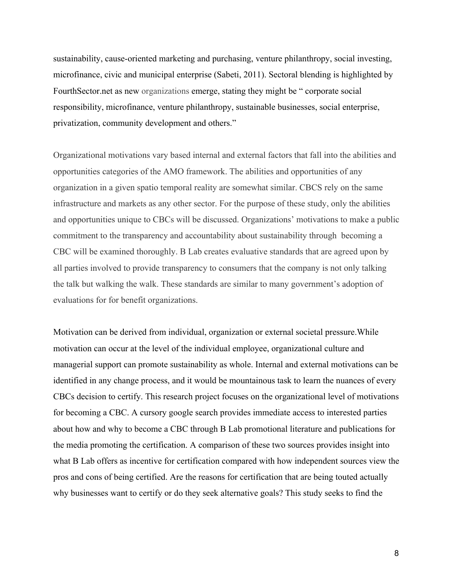sustainability, cause-oriented marketing and purchasing, venture philanthropy, social investing, microfinance, civic and municipal enterprise (Sabeti, 2011). Sectoral blending is highlighted by FourthSector.net as new organizations emerge, stating they might be " corporate social responsibility, microfinance, venture philanthropy, sustainable businesses, social enterprise, privatization, community development and others."

Organizational motivations vary based internal and external factors that fall into the abilities and opportunities categories of the AMO framework. The abilities and opportunities of any organization in a given spatio temporal reality are somewhat similar. CBCS rely on the same infrastructure and markets as any other sector. For the purpose of these study, only the abilities and opportunities unique to CBCs will be discussed. Organizations' motivations to make a public commitment to the transparency and accountability about sustainability through becoming a CBC will be examined thoroughly. B Lab creates evaluative standards that are agreed upon by all parties involved to provide transparency to consumers that the company is not only talking the talk but walking the walk. These standards are similar to many government's adoption of evaluations for for benefit organizations.

Motivation can be derived from individual, organization or external societal pressure.While motivation can occur at the level of the individual employee, organizational culture and managerial support can promote sustainability as whole. Internal and external motivations can be identified in any change process, and it would be mountainous task to learn the nuances of every CBCs decision to certify. This research project focuses on the organizational level of motivations for becoming a CBC. A cursory google search provides immediate access to interested parties about how and why to become a CBC through B Lab promotional literature and publications for the media promoting the certification. A comparison of these two sources provides insight into what B Lab offers as incentive for certification compared with how independent sources view the pros and cons of being certified. Are the reasons for certification that are being touted actually why businesses want to certify or do they seek alternative goals? This study seeks to find the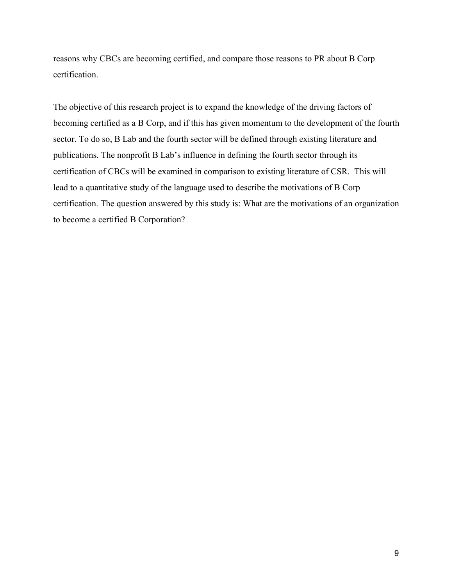reasons why CBCs are becoming certified, and compare those reasons to PR about B Corp certification.

The objective of this research project is to expand the knowledge of the driving factors of becoming certified as a B Corp, and if this has given momentum to the development of the fourth sector. To do so, B Lab and the fourth sector will be defined through existing literature and publications. The nonprofit B Lab's influence in defining the fourth sector through its certification of CBCs will be examined in comparison to existing literature of CSR. This will lead to a quantitative study of the language used to describe the motivations of B Corp certification. The question answered by this study is: What are the motivations of an organization to become a certified B Corporation?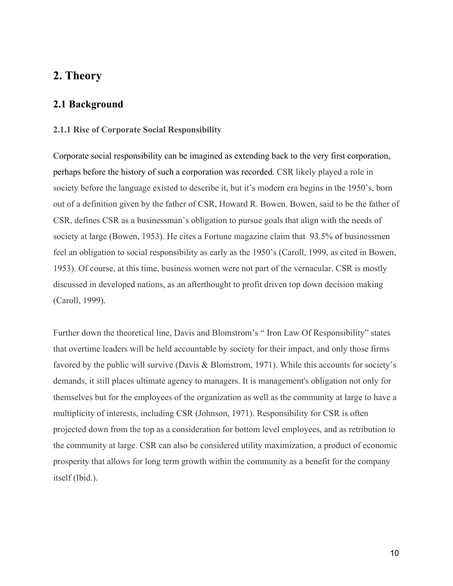## <span id="page-9-0"></span>**2. Theory**

#### <span id="page-9-1"></span>**2.1 Background**

#### <span id="page-9-2"></span>**2.1.1 Rise of Corporate Social Responsibility**

Corporate social responsibility can be imagined as extending back to the very first corporation, perhaps before the history of such a corporation was recorded. CSR likely played a role in society before the language existed to describe it, but it's modern era begins in the 1950's, born out of a definition given by the father of CSR, Howard R. Bowen. Bowen, said to be the father of CSR, defines CSR as a businessman's obligation to pursue goals that align with the needs of society at large (Bowen, 1953). He cites a Fortune magazine claim that 93.5% of businessmen feel an obligation to social responsibility as early as the 1950's (Caroll, 1999, as cited in Bowen, 1953). Of course, at this time, business women were not part of the vernacular. CSR is mostly discussed in developed nations, as an afterthought to profit driven top down decision making (Caroll, 1999).

Further down the theoretical line, Davis and Blomstrom's " Iron Law Of Responsibility" states that overtime leaders will be held accountable by society for their impact, and only those firms favored by the public will survive (Davis & Blomstrom, 1971). While this accounts for society's demands, it still places ultimate agency to managers. It is management's obligation not only for themselves but for the employees of the organization as well as the community at large to have a multiplicity of interests, including CSR (Johnson, 1971). Responsibility for CSR is often projected down from the top as a consideration for bottom level employees, and as retribution to the community at large. CSR can also be considered utility maximization, a product of economic prosperity that allows for long term growth within the community as a benefit for the company itself (Ibid.).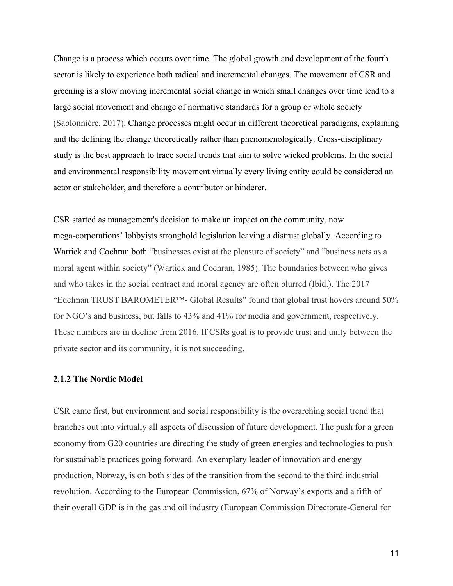Change is a process which occurs over time. The global growth and development of the fourth sector is likely to experience both radical and incremental changes. The movement of CSR and greening is a slow moving incremental social change in which small changes over time lead to a large social movement and change of normative standards for a group or whole society (Sablonnière, 2017). Change processes might occur in different theoretical paradigms, explaining and the defining the change theoretically rather than phenomenologically. Cross-disciplinary study is the best approach to trace social trends that aim to solve wicked problems. In the social and environmental responsibility movement virtually every living entity could be considered an actor or stakeholder, and therefore a contributor or hinderer.

CSR started as management's decision to make an impact on the community, now mega-corporations' lobbyists stronghold legislation leaving a distrust globally. According to Wartick and Cochran both "businesses exist at the pleasure of society" and "business acts as a moral agent within society" (Wartick and Cochran, 1985). The boundaries between who gives and who takes in the social contract and moral agency are often blurred (Ibid.). The 2017 "Edelman TRUST BAROMETER™- Global Results" found that global trust hovers around 50% for NGO's and business, but falls to 43% and 41% for media and government, respectively. These numbers are in decline from 2016. If CSRs goal is to provide trust and unity between the private sector and its community, it is not succeeding.

#### **2.1.2 The Nordic Model**

CSR came first, but environment and social responsibility is the overarching social trend that branches out into virtually all aspects of discussion of future development. The push for a green economy from G20 countries are directing the study of green energies and technologies to push for sustainable practices going forward. An exemplary leader of innovation and energy production, Norway, is on both sides of the transition from the second to the third industrial revolution. According to the European Commission, 67% of Norway's exports and a fifth of their overall GDP is in the gas and oil industry (European Commission Directorate-General for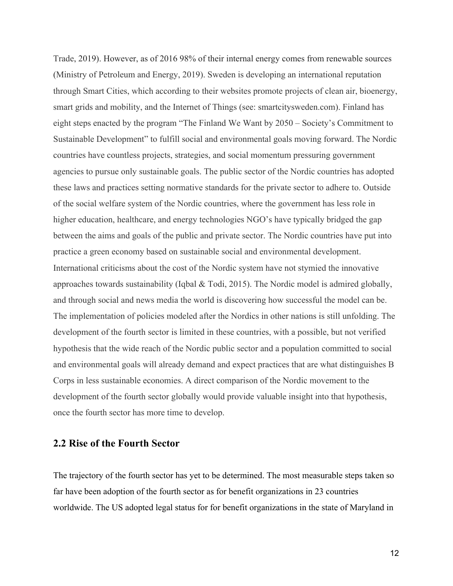Trade, 2019). However, as of 2016 98% of their internal energy comes from renewable sources (Ministry of Petroleum and Energy, 2019). Sweden is developing an international reputation through Smart Cities, which according to their websites promote projects of clean air, bioenergy, smart grids and mobility, and the Internet of Things (see: smartcitysweden.com). Finland has eight steps enacted by the program "The Finland We Want by 2050 – Society's Commitment to Sustainable Development" to fulfill social and environmental goals moving forward. The Nordic countries have countless projects, strategies, and social momentum pressuring government agencies to pursue only sustainable goals. The public sector of the Nordic countries has adopted these laws and practices setting normative standards for the private sector to adhere to. Outside of the social welfare system of the Nordic countries, where the government has less role in higher education, healthcare, and energy technologies NGO's have typically bridged the gap between the aims and goals of the public and private sector. The Nordic countries have put into practice a green economy based on sustainable social and environmental development. International criticisms about the cost of the Nordic system have not stymied the innovative approaches towards sustainability (Iqbal & Todi, 2015). The Nordic model is admired globally, and through social and news media the world is discovering how successful the model can be. The implementation of policies modeled after the Nordics in other nations is still unfolding. The development of the fourth sector is limited in these countries, with a possible, but not verified hypothesis that the wide reach of the Nordic public sector and a population committed to social and environmental goals will already demand and expect practices that are what distinguishes B Corps in less sustainable economies. A direct comparison of the Nordic movement to the development of the fourth sector globally would provide valuable insight into that hypothesis, once the fourth sector has more time to develop.

#### <span id="page-11-0"></span>**2.2 Rise of the Fourth Sector**

The trajectory of the fourth sector has yet to be determined. The most measurable steps taken so far have been adoption of the fourth sector as for benefit organizations in 23 countries worldwide. The US adopted legal status for for benefit organizations in the state of Maryland in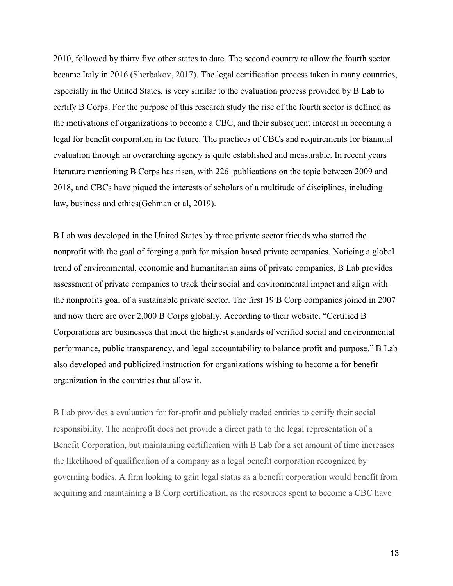2010, followed by thirty five other states to date. The second country to allow the fourth sector became Italy in 2016 (Sherbakov, 2017). The legal certification process taken in many countries, especially in the United States, is very similar to the evaluation process provided by B Lab to certify B Corps. For the purpose of this research study the rise of the fourth sector is defined as the motivations of organizations to become a CBC, and their subsequent interest in becoming a legal for benefit corporation in the future. The practices of CBCs and requirements for biannual evaluation through an overarching agency is quite established and measurable. In recent years literature mentioning B Corps has risen, with 226 publications on the topic between 2009 and 2018, and CBCs have piqued the interests of scholars of a multitude of disciplines, including law, business and ethics(Gehman et al, 2019).

B Lab was developed in the United States by three private sector friends who started the nonprofit with the goal of forging a path for mission based private companies. Noticing a global trend of environmental, economic and humanitarian aims of private companies, B Lab provides assessment of private companies to track their social and environmental impact and align with the nonprofits goal of a sustainable private sector. The first 19 B Corp companies joined in 2007 and now there are over 2,000 B Corps globally. According to their website, "Certified B Corporations are businesses that meet the highest standards of verified social and environmental performance, public transparency, and legal accountability to balance profit and purpose." B Lab also developed and publicized instruction for organizations wishing to become a for benefit organization in the countries that allow it.

B Lab provides a evaluation for for-profit and publicly traded entities to certify their social responsibility. The nonprofit does not provide a direct path to the legal representation of a Benefit Corporation, but maintaining certification with B Lab for a set amount of time increases the likelihood of qualification of a company as a legal benefit corporation recognized by governing bodies. A firm looking to gain legal status as a benefit corporation would benefit from acquiring and maintaining a B Corp certification, as the resources spent to become a CBC have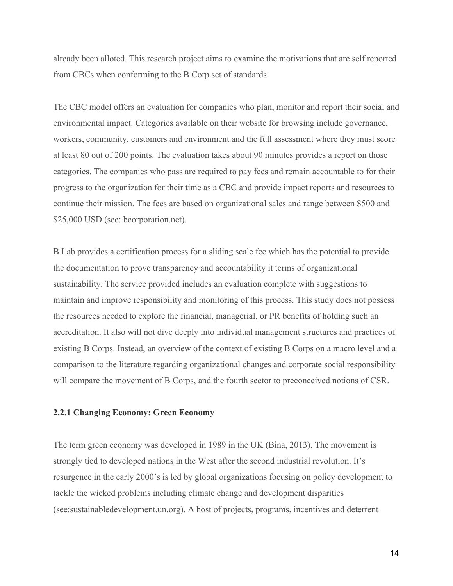already been alloted. This research project aims to examine the motivations that are self reported from CBCs when conforming to the B Corp set of standards.

The CBC model offers an evaluation for companies who plan, monitor and report their social and environmental impact. Categories available on their website for browsing include governance, workers, community, customers and environment and the full assessment where they must score at least 80 out of 200 points. The evaluation takes about 90 minutes provides a report on those categories. The companies who pass are required to pay fees and remain accountable to for their progress to the organization for their time as a CBC and provide impact reports and resources to continue their mission. The fees are based on organizational sales and range between \$500 and \$25,000 USD (see: bcorporation.net).

B Lab provides a certification process for a sliding scale fee which has the potential to provide the documentation to prove transparency and accountability it terms of organizational sustainability. The service provided includes an evaluation complete with suggestions to maintain and improve responsibility and monitoring of this process. This study does not possess the resources needed to explore the financial, managerial, or PR benefits of holding such an accreditation. It also will not dive deeply into individual management structures and practices of existing B Corps. Instead, an overview of the context of existing B Corps on a macro level and a comparison to the literature regarding organizational changes and corporate social responsibility will compare the movement of B Corps, and the fourth sector to preconceived notions of CSR.

#### **2.2.1 Changing Economy: Green Economy**

The term green economy was developed in 1989 in the UK (Bina, 2013). The movement is strongly tied to developed nations in the West after the second industrial revolution. It's resurgence in the early 2000's is led by global organizations focusing on policy development to tackle the wicked problems including climate change and development disparities (see:sustainabledevelopment.un.org). A host of projects, programs, incentives and deterrent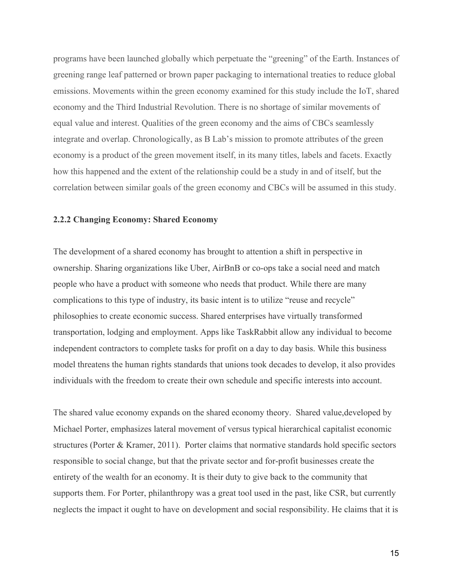programs have been launched globally which perpetuate the "greening" of the Earth. Instances of greening range leaf patterned or brown paper packaging to international treaties to reduce global emissions. Movements within the green economy examined for this study include the IoT, shared economy and the Third Industrial Revolution. There is no shortage of similar movements of equal value and interest. Qualities of the green economy and the aims of CBCs seamlessly integrate and overlap. Chronologically, as B Lab's mission to promote attributes of the green economy is a product of the green movement itself, in its many titles, labels and facets. Exactly how this happened and the extent of the relationship could be a study in and of itself, but the correlation between similar goals of the green economy and CBCs will be assumed in this study.

#### **2.2.2 Changing Economy: Shared Economy**

The development of a shared economy has brought to attention a shift in perspective in ownership. Sharing organizations like Uber, AirBnB or co-ops take a social need and match people who have a product with someone who needs that product. While there are many complications to this type of industry, its basic intent is to utilize "reuse and recycle" philosophies to create economic success. Shared enterprises have virtually transformed transportation, lodging and employment. Apps like TaskRabbit allow any individual to become independent contractors to complete tasks for profit on a day to day basis. While this business model threatens the human rights standards that unions took decades to develop, it also provides individuals with the freedom to create their own schedule and specific interests into account.

The shared value economy expands on the shared economy theory. Shared value,developed by Michael Porter, emphasizes lateral movement of versus typical hierarchical capitalist economic structures (Porter & Kramer, 2011). Porter claims that normative standards hold specific sectors responsible to social change, but that the private sector and for-profit businesses create the entirety of the wealth for an economy. It is their duty to give back to the community that supports them. For Porter, philanthropy was a great tool used in the past, like CSR, but currently neglects the impact it ought to have on development and social responsibility. He claims that it is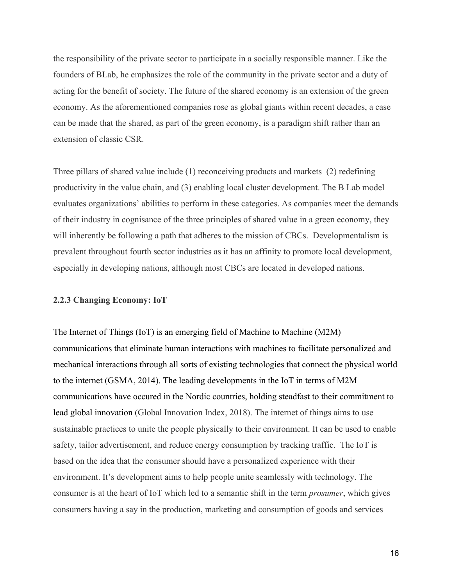the responsibility of the private sector to participate in a socially responsible manner. Like the founders of BLab, he emphasizes the role of the community in the private sector and a duty of acting for the benefit of society. The future of the shared economy is an extension of the green economy. As the aforementioned companies rose as global giants within recent decades, a case can be made that the shared, as part of the green economy, is a paradigm shift rather than an extension of classic CSR.

Three pillars of shared value include (1) reconceiving products and markets (2) redefining productivity in the value chain, and (3) enabling local cluster development. The B Lab model evaluates organizations' abilities to perform in these categories. As companies meet the demands of their industry in cognisance of the three principles of shared value in a green economy, they will inherently be following a path that adheres to the mission of CBCs. Developmentalism is prevalent throughout fourth sector industries as it has an affinity to promote local development, especially in developing nations, although most CBCs are located in developed nations.

#### **2.2.3 Changing Economy: IoT**

The Internet of Things (IoT) is an emerging field of Machine to Machine (M2M) communications that eliminate human interactions with machines to facilitate personalized and mechanical interactions through all sorts of existing technologies that connect the physical world to the internet (GSMA, 2014). The leading developments in the IoT in terms of M2M communications have occured in the Nordic countries, holding steadfast to their commitment to lead global innovation (Global Innovation Index, 2018). The internet of things aims to use sustainable practices to unite the people physically to their environment. It can be used to enable safety, tailor advertisement, and reduce energy consumption by tracking traffic. The IoT is based on the idea that the consumer should have a personalized experience with their environment. It's development aims to help people unite seamlessly with technology. The consumer is at the heart of IoT which led to a semantic shift in the term *prosumer*, which gives consumers having a say in the production, marketing and consumption of goods and services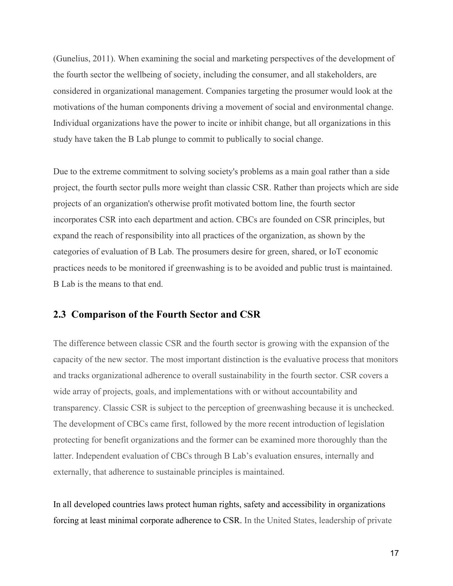(Gunelius, 2011). When examining the social and marketing perspectives of the development of the fourth sector the wellbeing of society, including the consumer, and all stakeholders, are considered in organizational management. Companies targeting the prosumer would look at the motivations of the human components driving a movement of social and environmental change. Individual organizations have the power to incite or inhibit change, but all organizations in this study have taken the B Lab plunge to commit to publically to social change.

Due to the extreme commitment to solving society's problems as a main goal rather than a side project, the fourth sector pulls more weight than classic CSR. Rather than projects which are side projects of an organization's otherwise profit motivated bottom line, the fourth sector incorporates CSR into each department and action. CBCs are founded on CSR principles, but expand the reach of responsibility into all practices of the organization, as shown by the categories of evaluation of B Lab. The prosumers desire for green, shared, or IoT economic practices needs to be monitored if greenwashing is to be avoided and public trust is maintained. B Lab is the means to that end.

#### <span id="page-16-0"></span>**2.3 Comparison of the Fourth Sector and CSR**

The difference between classic CSR and the fourth sector is growing with the expansion of the capacity of the new sector. The most important distinction is the evaluative process that monitors and tracks organizational adherence to overall sustainability in the fourth sector. CSR covers a wide array of projects, goals, and implementations with or without accountability and transparency. Classic CSR is subject to the perception of greenwashing because it is unchecked. The development of CBCs came first, followed by the more recent introduction of legislation protecting for benefit organizations and the former can be examined more thoroughly than the latter. Independent evaluation of CBCs through B Lab's evaluation ensures, internally and externally, that adherence to sustainable principles is maintained.

In all developed countries laws protect human rights, safety and accessibility in organizations forcing at least minimal corporate adherence to CSR. In the United States, leadership of private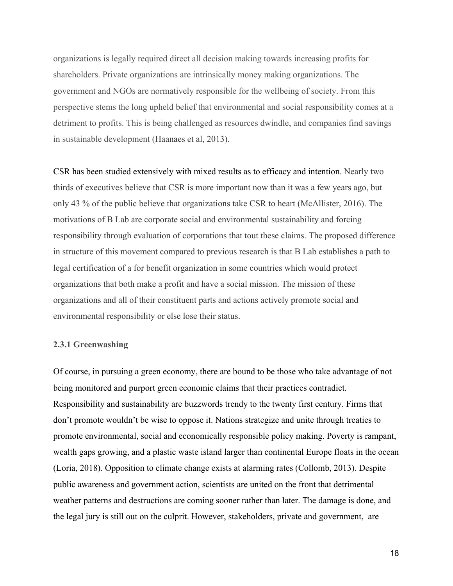organizations is legally required direct all decision making towards increasing profits for shareholders. Private organizations are intrinsically money making organizations. The government and NGOs are normatively responsible for the wellbeing of society. From this perspective stems the long upheld belief that environmental and social responsibility comes at a detriment to profits. This is being challenged as resources dwindle, and companies find savings in sustainable development (Haanaes et al, 2013).

CSR has been studied extensively with mixed results as to efficacy and intention. Nearly two thirds of executives believe that CSR is more important now than it was a few years ago, but only 43 % of the public believe that organizations take CSR to heart (McAllister, 2016). The motivations of B Lab are corporate social and environmental sustainability and forcing responsibility through evaluation of corporations that tout these claims. The proposed difference in structure of this movement compared to previous research is that B Lab establishes a path to legal certification of a for benefit organization in some countries which would protect organizations that both make a profit and have a social mission. The mission of these organizations and all of their constituent parts and actions actively promote social and environmental responsibility or else lose their status.

#### <span id="page-17-0"></span>**2.3.1 Greenwashing**

Of course, in pursuing a green economy, there are bound to be those who take advantage of not being monitored and purport green economic claims that their practices contradict. Responsibility and sustainability are buzzwords trendy to the twenty first century. Firms that don't promote wouldn't be wise to oppose it. Nations strategize and unite through treaties to promote environmental, social and economically responsible policy making. Poverty is rampant, wealth gaps growing, and a plastic waste island larger than continental Europe floats in the ocean (Loria, 2018). Opposition to climate change exists at alarming rates (Collomb, 2013). Despite public awareness and government action, scientists are united on the front that detrimental weather patterns and destructions are coming sooner rather than later. The damage is done, and the legal jury is still out on the culprit. However, stakeholders, private and government, are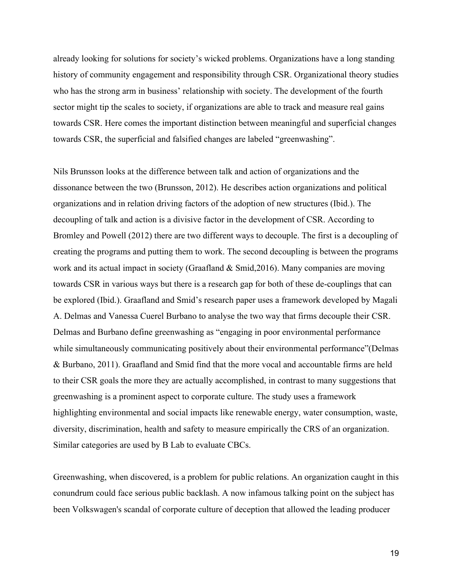already looking for solutions for society's wicked problems. Organizations have a long standing history of community engagement and responsibility through CSR. Organizational theory studies who has the strong arm in business' relationship with society. The development of the fourth sector might tip the scales to society, if organizations are able to track and measure real gains towards CSR. Here comes the important distinction between meaningful and superficial changes towards CSR, the superficial and falsified changes are labeled "greenwashing".

Nils Brunsson looks at the difference between talk and action of organizations and the dissonance between the two (Brunsson, 2012). He describes action organizations and political organizations and in relation driving factors of the adoption of new structures (Ibid.). The decoupling of talk and action is a divisive factor in the development of CSR. According to Bromley and Powell (2012) there are two different ways to decouple. The first is a decoupling of creating the programs and putting them to work. The second decoupling is between the programs work and its actual impact in society (Graafland & Smid,2016). Many companies are moving towards CSR in various ways but there is a research gap for both of these de-couplings that can be explored (Ibid.). Graafland and Smid's research paper uses a framework developed by Magali A. Delmas and Vanessa Cuerel Burbano to analyse the two way that firms decouple their CSR. Delmas and Burbano define greenwashing as "engaging in poor environmental performance while simultaneously communicating positively about their environmental performance"(Delmas & Burbano, 2011). Graafland and Smid find that the more vocal and accountable firms are held to their CSR goals the more they are actually accomplished, in contrast to many suggestions that greenwashing is a prominent aspect to corporate culture. The study uses a framework highlighting environmental and social impacts like renewable energy, water consumption, waste, diversity, discrimination, health and safety to measure empirically the CRS of an organization. Similar categories are used by B Lab to evaluate CBCs.

Greenwashing, when discovered, is a problem for public relations. An organization caught in this conundrum could face serious public backlash. A now infamous talking point on the subject has been Volkswagen's scandal of corporate culture of deception that allowed the leading producer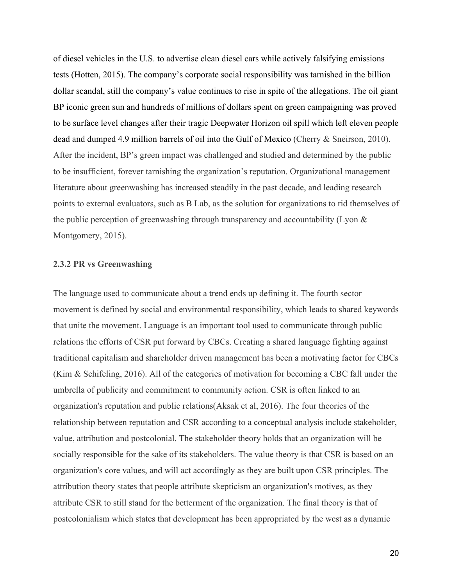of diesel vehicles in the U.S. to advertise clean diesel cars while actively falsifying emissions tests (Hotten, 2015). The company's corporate social responsibility was tarnished in the billion dollar scandal, still the company's value continues to rise in spite of the allegations. The oil giant BP iconic green sun and hundreds of millions of dollars spent on green campaigning was proved to be surface level changes after their tragic Deepwater Horizon oil spill which left eleven people dead and dumped 4.9 million barrels of oil into the Gulf of Mexico (Cherry & Sneirson, 2010). After the incident, BP's green impact was challenged and studied and determined by the public to be insufficient, forever tarnishing the organization's reputation. Organizational management literature about greenwashing has increased steadily in the past decade, and leading research points to external evaluators, such as B Lab, as the solution for organizations to rid themselves of the public perception of greenwashing through transparency and accountability (Lyon & Montgomery, 2015).

#### **2.3.2 PR vs Greenwashing**

The language used to communicate about a trend ends up defining it. The fourth sector movement is defined by social and environmental responsibility, which leads to shared keywords that unite the movement. Language is an important tool used to communicate through public relations the efforts of CSR put forward by CBCs. Creating a shared language fighting against traditional capitalism and shareholder driven management has been a motivating factor for CBCs (Kim & Schifeling, 2016). All of the categories of motivation for becoming a CBC fall under the umbrella of publicity and commitment to community action. CSR is often linked to an organization's reputation and public relations(Aksak et al, 2016). The four theories of the relationship between reputation and CSR according to a conceptual analysis include stakeholder, value, attribution and postcolonial. The stakeholder theory holds that an organization will be socially responsible for the sake of its stakeholders. The value theory is that CSR is based on an organization's core values, and will act accordingly as they are built upon CSR principles. The attribution theory states that people attribute skepticism an organization's motives, as they attribute CSR to still stand for the betterment of the organization. The final theory is that of postcolonialism which states that development has been appropriated by the west as a dynamic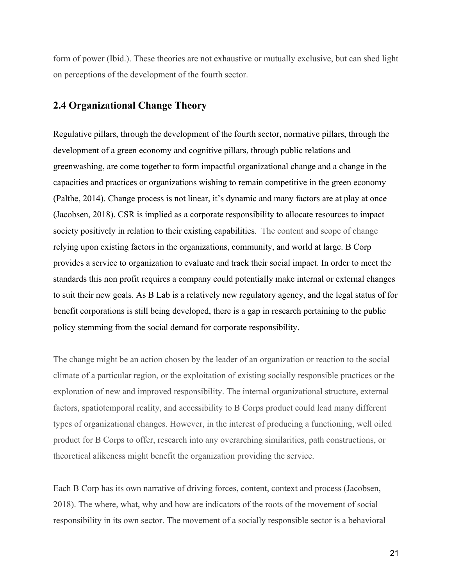form of power (Ibid.). These theories are not exhaustive or mutually exclusive, but can shed light on perceptions of the development of the fourth sector.

### <span id="page-20-0"></span>**2.4 Organizational Change Theory**

Regulative pillars, through the development of the fourth sector, normative pillars, through the development of a green economy and cognitive pillars, through public relations and greenwashing, are come together to form impactful organizational change and a change in the capacities and practices or organizations wishing to remain competitive in the green economy (Palthe, 2014). Change process is not linear, it's dynamic and many factors are at play at once (Jacobsen, 2018). CSR is implied as a corporate responsibility to allocate resources to impact society positively in relation to their existing capabilities. The content and scope of change relying upon existing factors in the organizations, community, and world at large. B Corp provides a service to organization to evaluate and track their social impact. In order to meet the standards this non profit requires a company could potentially make internal or external changes to suit their new goals. As B Lab is a relatively new regulatory agency, and the legal status of for benefit corporations is still being developed, there is a gap in research pertaining to the public policy stemming from the social demand for corporate responsibility.

The change might be an action chosen by the leader of an organization or reaction to the social climate of a particular region, or the exploitation of existing socially responsible practices or the exploration of new and improved responsibility. The internal organizational structure, external factors, spatiotemporal reality, and accessibility to B Corps product could lead many different types of organizational changes. However, in the interest of producing a functioning, well oiled product for B Corps to offer, research into any overarching similarities, path constructions, or theoretical alikeness might benefit the organization providing the service.

Each B Corp has its own narrative of driving forces, content, context and process (Jacobsen, 2018). The where, what, why and how are indicators of the roots of the movement of social responsibility in its own sector. The movement of a socially responsible sector is a behavioral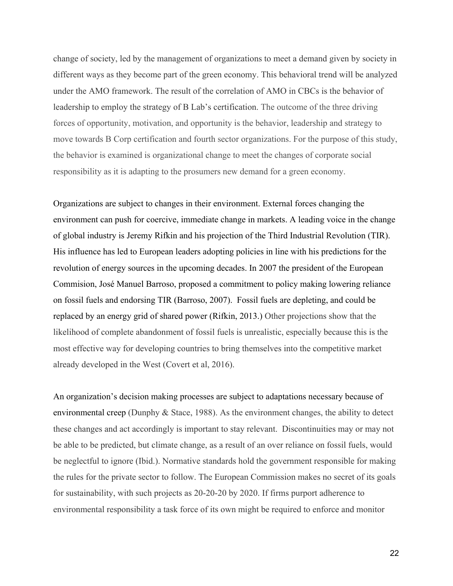change of society, led by the management of organizations to meet a demand given by society in different ways as they become part of the green economy. This behavioral trend will be analyzed under the AMO framework. The result of the correlation of AMO in CBCs is the behavior of leadership to employ the strategy of B Lab's certification. The outcome of the three driving forces of opportunity, motivation, and opportunity is the behavior, leadership and strategy to move towards B Corp certification and fourth sector organizations. For the purpose of this study, the behavior is examined is organizational change to meet the changes of corporate social responsibility as it is adapting to the prosumers new demand for a green economy.

Organizations are subject to changes in their environment. External forces changing the environment can push for coercive, immediate change in markets. A leading voice in the change of global industry is Jeremy Rifkin and his projection of the Third Industrial Revolution (TIR). His influence has led to European leaders adopting policies in line with his predictions for the revolution of energy sources in the upcoming decades. In 2007 the president of the European Commision, José Manuel Barroso, proposed a commitment to policy making lowering reliance on fossil fuels and endorsing TIR (Barroso, 2007). Fossil fuels are depleting, and could be replaced by an energy grid of shared power (Rifkin, 2013.) Other projections show that the likelihood of complete abandonment of fossil fuels is unrealistic, especially because this is the most effective way for developing countries to bring themselves into the competitive market already developed in the West (Covert et al, 2016).

An organization's decision making processes are subject to adaptations necessary because of environmental creep (Dunphy & Stace, 1988). As the environment changes, the ability to detect these changes and act accordingly is important to stay relevant. Discontinuities may or may not be able to be predicted, but climate change, as a result of an over reliance on fossil fuels, would be neglectful to ignore (Ibid.). Normative standards hold the government responsible for making the rules for the private sector to follow. The European Commission makes no secret of its goals for sustainability, with such projects as 20-20-20 by 2020. If firms purport adherence to environmental responsibility a task force of its own might be required to enforce and monitor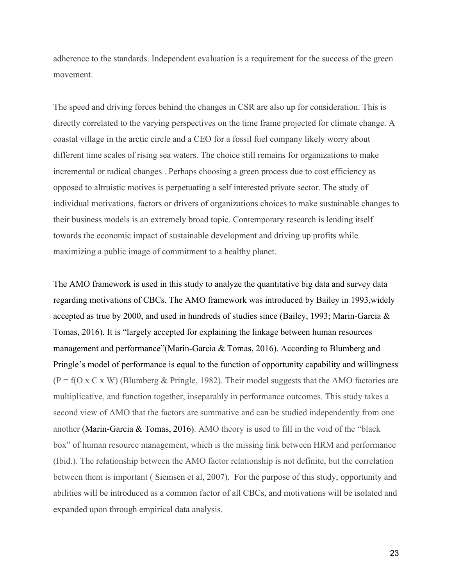adherence to the standards. Independent evaluation is a requirement for the success of the green movement.

The speed and driving forces behind the changes in CSR are also up for consideration. This is directly correlated to the varying perspectives on the time frame projected for climate change. A coastal village in the arctic circle and a CEO for a fossil fuel company likely worry about different time scales of rising sea waters. The choice still remains for organizations to make incremental or radical changes . Perhaps choosing a green process due to cost efficiency as opposed to altruistic motives is perpetuating a self interested private sector. The study of individual motivations, factors or drivers of organizations choices to make sustainable changes to their business models is an extremely broad topic. Contemporary research is lending itself towards the economic impact of sustainable development and driving up profits while maximizing a public image of commitment to a healthy planet.

The AMO framework is used in this study to analyze the quantitative big data and survey data regarding motivations of CBCs. The AMO framework was introduced by Bailey in 1993,widely accepted as true by 2000, and used in hundreds of studies since (Bailey, 1993; Marin-Garcia  $\&$ Tomas, 2016). It is "largely accepted for explaining the linkage between human resources management and performance"(Marin-Garcia & Tomas, 2016). According to Blumberg and Pringle's model of performance is equal to the function of opportunity capability and willingness  $(P = f(O \times C \times W)$  (Blumberg & Pringle, 1982). Their model suggests that the AMO factories are multiplicative, and function together, inseparably in performance outcomes. This study takes a second view of AMO that the factors are summative and can be studied independently from one another (Marin-Garcia & Tomas, 2016). AMO theory is used to fill in the void of the "black box" of human resource management, which is the missing link between HRM and performance (Ibid.). The relationship between the AMO factor relationship is not definite, but the correlation between them is important ( Siemsen et al, 2007). For the purpose of this study, opportunity and abilities will be introduced as a common factor of all CBCs, and motivations will be isolated and expanded upon through empirical data analysis.

23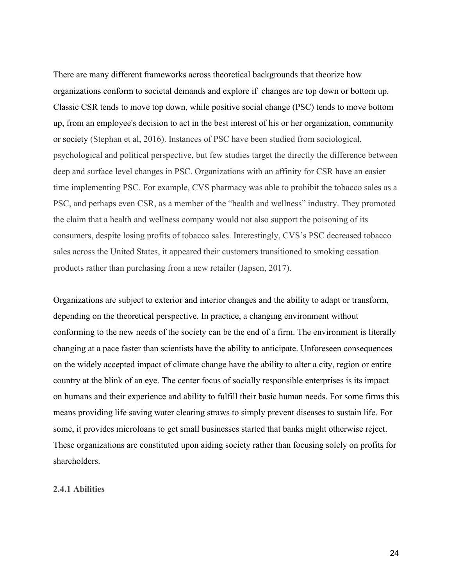There are many different frameworks across theoretical backgrounds that theorize how organizations conform to societal demands and explore if changes are top down or bottom up. Classic CSR tends to move top down, while positive social change (PSC) tends to move bottom up, from an employee's decision to act in the best interest of his or her organization, community or society (Stephan et al, 2016). Instances of PSC have been studied from sociological, psychological and political perspective, but few studies target the directly the difference between deep and surface level changes in PSC. Organizations with an affinity for CSR have an easier time implementing PSC. For example, CVS pharmacy was able to prohibit the tobacco sales as a PSC, and perhaps even CSR, as a member of the "health and wellness" industry. They promoted the claim that a health and wellness company would not also support the poisoning of its consumers, despite losing profits of tobacco sales. Interestingly, CVS's PSC decreased tobacco sales across the United States, it appeared their customers transitioned to smoking cessation products rather than purchasing from a new retailer (Japsen, 2017).

Organizations are subject to exterior and interior changes and the ability to adapt or transform, depending on the theoretical perspective. In practice, a changing environment without conforming to the new needs of the society can be the end of a firm. The environment is literally changing at a pace faster than scientists have the ability to anticipate. Unforeseen consequences on the widely accepted impact of climate change have the ability to alter a city, region or entire country at the blink of an eye. The center focus of socially responsible enterprises is its impact on humans and their experience and ability to fulfill their basic human needs. For some firms this means providing life saving water clearing straws to simply prevent diseases to sustain life. For some, it provides microloans to get small businesses started that banks might otherwise reject. These organizations are constituted upon aiding society rather than focusing solely on profits for shareholders.

#### <span id="page-23-0"></span>**2.4.1 Abilities**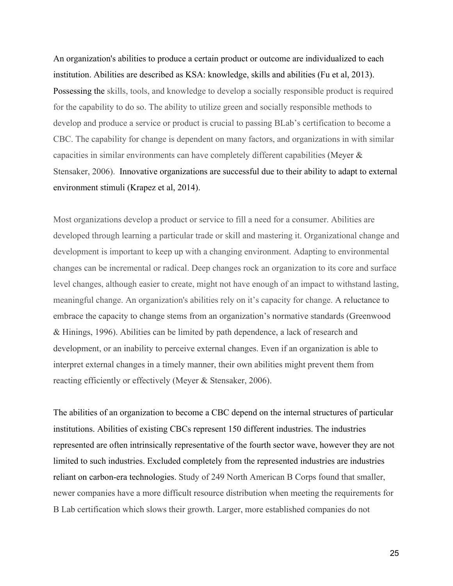An organization's abilities to produce a certain product or outcome are individualized to each institution. Abilities are described as KSA: knowledge, skills and abilities (Fu et al, 2013). Possessing the skills, tools, and knowledge to develop a socially responsible product is required for the capability to do so. The ability to utilize green and socially responsible methods to develop and produce a service or product is crucial to passing BLab's certification to become a CBC. The capability for change is dependent on many factors, and organizations in with similar capacities in similar environments can have completely different capabilities (Meyer & Stensaker, 2006). Innovative organizations are successful due to their ability to adapt to external environment stimuli (Krapez et al, 2014).

Most organizations develop a product or service to fill a need for a consumer. Abilities are developed through learning a particular trade or skill and mastering it. Organizational change and development is important to keep up with a changing environment. Adapting to environmental changes can be incremental or radical. Deep changes rock an organization to its core and surface level changes, although easier to create, might not have enough of an impact to withstand lasting, meaningful change. An organization's abilities rely on it's capacity for change. A reluctance to embrace the capacity to change stems from an organization's normative standards (Greenwood & Hinings, 1996). Abilities can be limited by path dependence, a lack of research and development, or an inability to perceive external changes. Even if an organization is able to interpret external changes in a timely manner, their own abilities might prevent them from reacting efficiently or effectively (Meyer & Stensaker, 2006).

The abilities of an organization to become a CBC depend on the internal structures of particular institutions. Abilities of existing CBCs represent 150 different industries. The industries represented are often intrinsically representative of the fourth sector wave, however they are not limited to such industries. Excluded completely from the represented industries are industries reliant on carbon-era technologies. Study of 249 North American B Corps found that smaller, newer companies have a more difficult resource distribution when meeting the requirements for B Lab certification which slows their growth. Larger, more established companies do not

25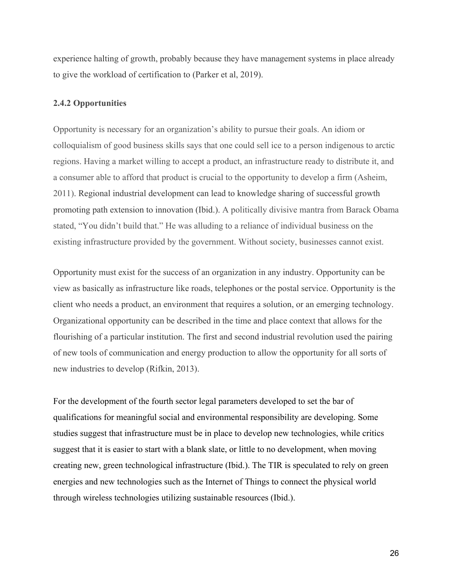experience halting of growth, probably because they have management systems in place already to give the workload of certification to (Parker et al, 2019).

#### <span id="page-25-0"></span>**2.4.2 Opportunities**

Opportunity is necessary for an organization's ability to pursue their goals. An idiom or colloquialism of good business skills says that one could sell ice to a person indigenous to arctic regions. Having a market willing to accept a product, an infrastructure ready to distribute it, and a consumer able to afford that product is crucial to the opportunity to develop a firm (Asheim, 2011). Regional industrial development can lead to knowledge sharing of successful growth promoting path extension to innovation (Ibid.). A politically divisive mantra from Barack Obama stated, "You didn't build that." He was alluding to a reliance of individual business on the existing infrastructure provided by the government. Without society, businesses cannot exist.

Opportunity must exist for the success of an organization in any industry. Opportunity can be view as basically as infrastructure like roads, telephones or the postal service. Opportunity is the client who needs a product, an environment that requires a solution, or an emerging technology. Organizational opportunity can be described in the time and place context that allows for the flourishing of a particular institution. The first and second industrial revolution used the pairing of new tools of communication and energy production to allow the opportunity for all sorts of new industries to develop (Rifkin, 2013).

For the development of the fourth sector legal parameters developed to set the bar of qualifications for meaningful social and environmental responsibility are developing. Some studies suggest that infrastructure must be in place to develop new technologies, while critics suggest that it is easier to start with a blank slate, or little to no development, when moving creating new, green technological infrastructure (Ibid.). The TIR is speculated to rely on green energies and new technologies such as the Internet of Things to connect the physical world through wireless technologies utilizing sustainable resources (Ibid.).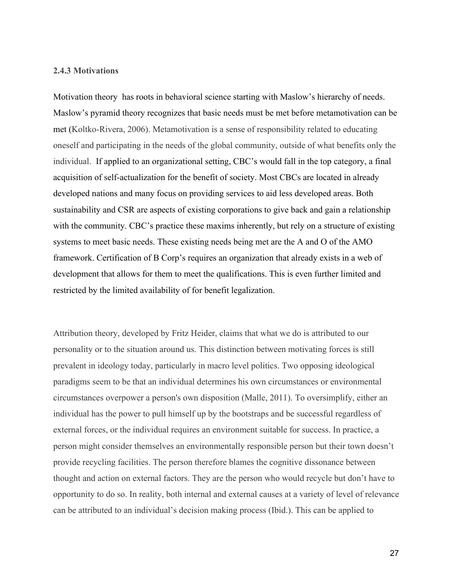#### <span id="page-26-0"></span>**2.4.3 Motivations**

Motivation theory has roots in behavioral science starting with Maslow's hierarchy of needs. Maslow's pyramid theory recognizes that basic needs must be met before metamotivation can be met (Koltko-Rivera, 2006). Metamotivation is a sense of responsibility related to educating oneself and participating in the needs of the global community, outside of what benefits only the individual. If applied to an organizational setting, CBC's would fall in the top category, a final acquisition of self-actualization for the benefit of society. Most CBCs are located in already developed nations and many focus on providing services to aid less developed areas. Both sustainability and CSR are aspects of existing corporations to give back and gain a relationship with the community. CBC's practice these maxims inherently, but rely on a structure of existing systems to meet basic needs. These existing needs being met are the A and O of the AMO framework. Certification of B Corp's requires an organization that already exists in a web of development that allows for them to meet the qualifications. This is even further limited and restricted by the limited availability of for benefit legalization.

Attribution theory, developed by Fritz Heider, claims that what we do is attributed to our personality or to the situation around us. This distinction between motivating forces is still prevalent in ideology today, particularly in macro level politics. Two opposing ideological paradigms seem to be that an individual determines his own circumstances or environmental circumstances overpower a person's own disposition (Malle, 2011). To oversimplify, either an individual has the power to pull himself up by the bootstraps and be successful regardless of external forces, or the individual requires an environment suitable for success. In practice, a person might consider themselves an environmentally responsible person but their town doesn't provide recycling facilities. The person therefore blames the cognitive dissonance between thought and action on external factors. They are the person who would recycle but don't have to opportunity to do so. In reality, both internal and external causes at a variety of level of relevance can be attributed to an individual's decision making process (Ibid.). This can be applied to

27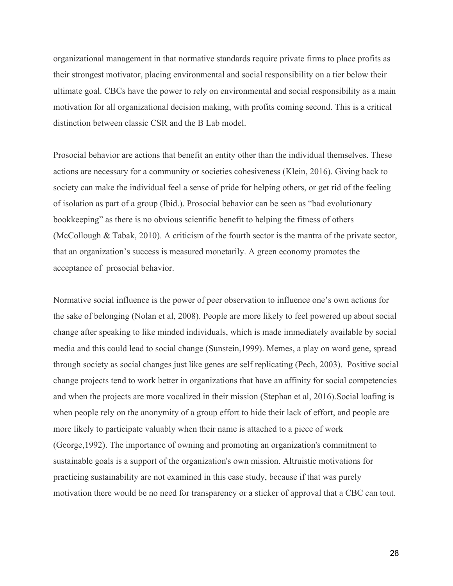organizational management in that normative standards require private firms to place profits as their strongest motivator, placing environmental and social responsibility on a tier below their ultimate goal. CBCs have the power to rely on environmental and social responsibility as a main motivation for all organizational decision making, with profits coming second. This is a critical distinction between classic CSR and the B Lab model.

Prosocial behavior are actions that benefit an entity other than the individual themselves. These actions are necessary for a community or societies cohesiveness (Klein, 2016). Giving back to society can make the individual feel a sense of pride for helping others, or get rid of the feeling of isolation as part of a group (Ibid.). Prosocial behavior can be seen as "bad evolutionary bookkeeping" as there is no obvious scientific benefit to helping the fitness of others (McCollough & Tabak, 2010). A criticism of the fourth sector is the mantra of the private sector, that an organization's success is measured monetarily. A green economy promotes the acceptance of prosocial behavior.

Normative social influence is the power of peer observation to influence one's own actions for the sake of belonging (Nolan et al, 2008). People are more likely to feel powered up about social change after speaking to like minded individuals, which is made immediately available by social media and this could lead to social change (Sunstein,1999). Memes, a play on word gene, spread through society as social changes just like genes are self replicating (Pech, 2003). Positive social change projects tend to work better in organizations that have an affinity for social competencies and when the projects are more vocalized in their mission (Stephan et al, 2016).Social loafing is when people rely on the anonymity of a group effort to hide their lack of effort, and people are more likely to participate valuably when their name is attached to a piece of work (George,1992). The importance of owning and promoting an organization's commitment to sustainable goals is a support of the organization's own mission. Altruistic motivations for practicing sustainability are not examined in this case study, because if that was purely motivation there would be no need for transparency or a sticker of approval that a CBC can tout.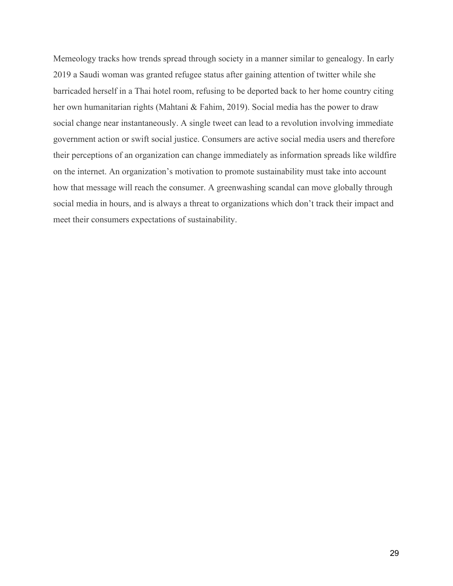Memeology tracks how trends spread through society in a manner similar to genealogy. In early 2019 a Saudi woman was granted refugee status after gaining attention of twitter while she barricaded herself in a Thai hotel room, refusing to be deported back to her home country citing her own humanitarian rights (Mahtani & Fahim, 2019). Social media has the power to draw social change near instantaneously. A single tweet can lead to a revolution involving immediate government action or swift social justice. Consumers are active social media users and therefore their perceptions of an organization can change immediately as information spreads like wildfire on the internet. An organization's motivation to promote sustainability must take into account how that message will reach the consumer. A greenwashing scandal can move globally through social media in hours, and is always a threat to organizations which don't track their impact and meet their consumers expectations of sustainability.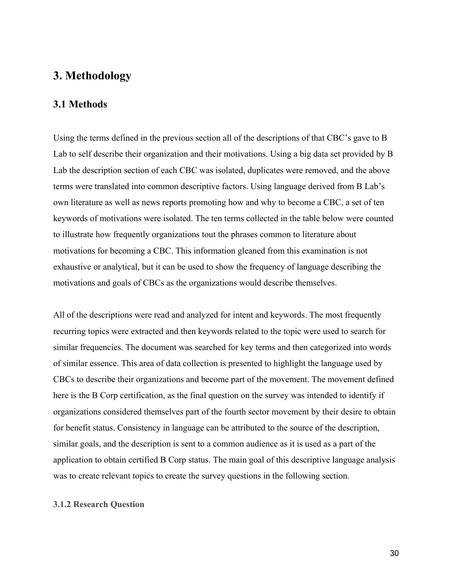### **3. Methodology**

#### <span id="page-29-1"></span>**3.1 Methods**

Using the terms defined in the previous section all of the descriptions of that CBC's gave to B Lab to self describe their organization and their motivations. Using a big data set provided by B Lab the description section of each CBC was isolated, duplicates were removed, and the above terms were translated into common descriptive factors. Using language derived from B Lab's own literature as well as news reports promoting how and why to become a CBC, a set of ten keywords of motivations were isolated. The ten terms collected in the table below were counted to illustrate how frequently organizations tout the phrases common to literature about motivations for becoming a CBC. This information gleaned from this examination is not exhaustive or analytical, but it can be used to show the frequency of language describing the motivations and goals of CBCs as the organizations would describe themselves.

All of the descriptions were read and analyzed for intent and keywords. The most frequently recurring topics were extracted and then keywords related to the topic were used to search for similar frequencies. The document was searched for key terms and then categorized into words of similar essence. This area of data collection is presented to highlight the language used by CBCs to describe their organizations and become part of the movement. The movement defined here is the B Corp certification, as the final question on the survey was intended to identify if organizations considered themselves part of the fourth sector movement by their desire to obtain for benefit status. Consistency in language can be attributed to the source of the description, similar goals, and the description is sent to a common audience as it is used as a part of the application to obtain certified B Corp status. The main goal of this descriptive language analysis was to create relevant topics to create the survey questions in the following section.

#### <span id="page-29-0"></span>**3.1.2 Research Question**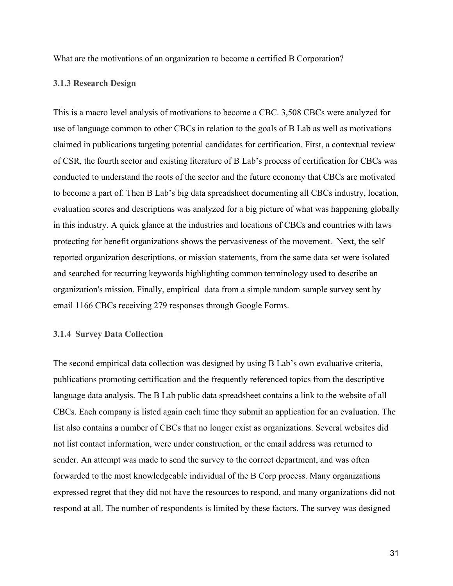What are the motivations of an organization to become a certified B Corporation?

#### **3.1.3 Research Design**

This is a macro level analysis of motivations to become a CBC. 3,508 CBCs were analyzed for use of language common to other CBCs in relation to the goals of B Lab as well as motivations claimed in publications targeting potential candidates for certification. First, a contextual review of CSR, the fourth sector and existing literature of B Lab's process of certification for CBCs was conducted to understand the roots of the sector and the future economy that CBCs are motivated to become a part of. Then B Lab's big data spreadsheet documenting all CBCs industry, location, evaluation scores and descriptions was analyzed for a big picture of what was happening globally in this industry. A quick glance at the industries and locations of CBCs and countries with laws protecting for benefit organizations shows the pervasiveness of the movement. Next, the self reported organization descriptions, or mission statements, from the same data set were isolated and searched for recurring keywords highlighting common terminology used to describe an organization's mission. Finally, empirical data from a simple random sample survey sent by email 1166 CBCs receiving 279 responses through Google Forms.

#### **3.1.4 Survey Data Collection**

The second empirical data collection was designed by using B Lab's own evaluative criteria, publications promoting certification and the frequently referenced topics from the descriptive language data analysis. The B Lab public data spreadsheet contains a link to the website of all CBCs. Each company is listed again each time they submit an application for an evaluation. The list also contains a number of CBCs that no longer exist as organizations. Several websites did not list contact information, were under construction, or the email address was returned to sender. An attempt was made to send the survey to the correct department, and was often forwarded to the most knowledgeable individual of the B Corp process. Many organizations expressed regret that they did not have the resources to respond, and many organizations did not respond at all. The number of respondents is limited by these factors. The survey was designed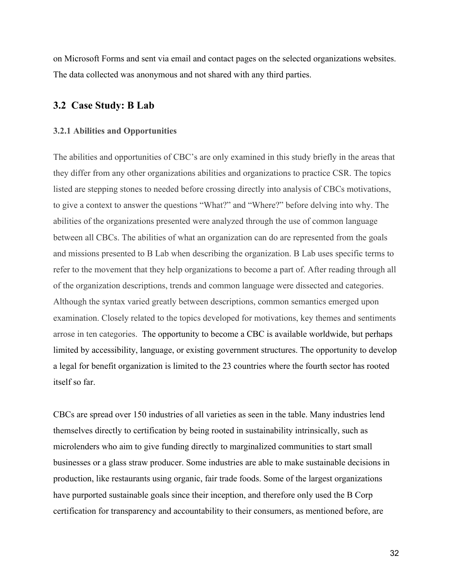on Microsoft Forms and sent via email and contact pages on the selected organizations websites. The data collected was anonymous and not shared with any third parties.

#### <span id="page-31-0"></span>**3.2 Case Study: B Lab**

#### <span id="page-31-1"></span>**3.2.1 Abilities and Opportunities**

The abilities and opportunities of CBC's are only examined in this study briefly in the areas that they differ from any other organizations abilities and organizations to practice CSR. The topics listed are stepping stones to needed before crossing directly into analysis of CBCs motivations, to give a context to answer the questions "What?" and "Where?" before delving into why. The abilities of the organizations presented were analyzed through the use of common language between all CBCs. The abilities of what an organization can do are represented from the goals and missions presented to B Lab when describing the organization. B Lab uses specific terms to refer to the movement that they help organizations to become a part of. After reading through all of the organization descriptions, trends and common language were dissected and categories. Although the syntax varied greatly between descriptions, common semantics emerged upon examination. Closely related to the topics developed for motivations, key themes and sentiments arrose in ten categories. The opportunity to become a CBC is available worldwide, but perhaps limited by accessibility, language, or existing government structures. The opportunity to develop a legal for benefit organization is limited to the 23 countries where the fourth sector has rooted itself so far.

CBCs are spread over 150 industries of all varieties as seen in the table. Many industries lend themselves directly to certification by being rooted in sustainability intrinsically, such as microlenders who aim to give funding directly to marginalized communities to start small businesses or a glass straw producer. Some industries are able to make sustainable decisions in production, like restaurants using organic, fair trade foods. Some of the largest organizations have purported sustainable goals since their inception, and therefore only used the B Corp certification for transparency and accountability to their consumers, as mentioned before, are

32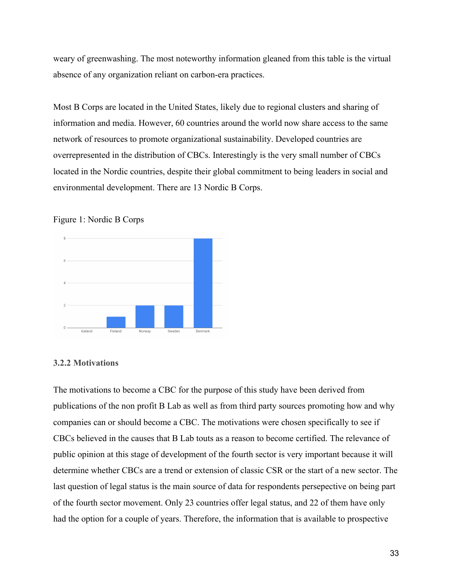weary of greenwashing. The most noteworthy information gleaned from this table is the virtual absence of any organization reliant on carbon-era practices.

Most B Corps are located in the United States, likely due to regional clusters and sharing of information and media. However, 60 countries around the world now share access to the same network of resources to promote organizational sustainability. Developed countries are overrepresented in the distribution of CBCs. Interestingly is the very small number of CBCs located in the Nordic countries, despite their global commitment to being leaders in social and environmental development. There are 13 Nordic B Corps.





#### <span id="page-32-0"></span>**3.2.2 Motivations**

The motivations to become a CBC for the purpose of this study have been derived from publications of the non profit B Lab as well as from third party sources promoting how and why companies can or should become a CBC. The motivations were chosen specifically to see if CBCs believed in the causes that B Lab touts as a reason to become certified. The relevance of public opinion at this stage of development of the fourth sector is very important because it will determine whether CBCs are a trend or extension of classic CSR or the start of a new sector. The last question of legal status is the main source of data for respondents persepective on being part of the fourth sector movement. Only 23 countries offer legal status, and 22 of them have only had the option for a couple of years. Therefore, the information that is available to prospective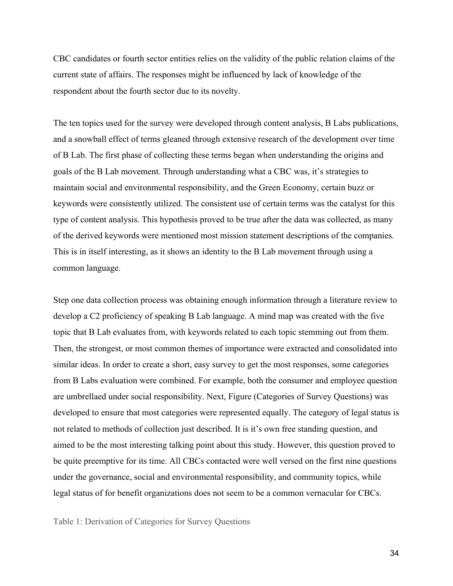CBC candidates or fourth sector entities relies on the validity of the public relation claims of the current state of affairs. The responses might be influenced by lack of knowledge of the respondent about the fourth sector due to its novelty.

The ten topics used for the survey were developed through content analysis, B Labs publications, and a snowball effect of terms gleaned through extensive research of the development over time of B Lab. The first phase of collecting these terms began when understanding the origins and goals of the B Lab movement. Through understanding what a CBC was, it's strategies to maintain social and environmental responsibility, and the Green Economy, certain buzz or keywords were consistently utilized. The consistent use of certain terms was the catalyst for this type of content analysis. This hypothesis proved to be true after the data was collected, as many of the derived keywords were mentioned most mission statement descriptions of the companies. This is in itself interesting, as it shows an identity to the B Lab movement through using a common language.

Step one data collection process was obtaining enough information through a literature review to develop a C2 proficiency of speaking B Lab language. A mind map was created with the five topic that B Lab evaluates from, with keywords related to each topic stemming out from them. Then, the strongest, or most common themes of importance were extracted and consolidated into similar ideas. In order to create a short, easy survey to get the most responses, some categories from B Labs evaluation were combined. For example, both the consumer and employee question are umbrellaed under social responsibility. Next, Figure (Categories of Survey Questions) was developed to ensure that most categories were represented equally. The category of legal status is not related to methods of collection just described. It is it's own free standing question, and aimed to be the most interesting talking point about this study. However, this question proved to be quite preemptive for its time. All CBCs contacted were well versed on the first nine questions under the governance, social and environmental responsibility, and community topics, while legal status of for benefit organizations does not seem to be a common vernacular for CBCs.

Table 1: Derivation of Categories for Survey Questions

34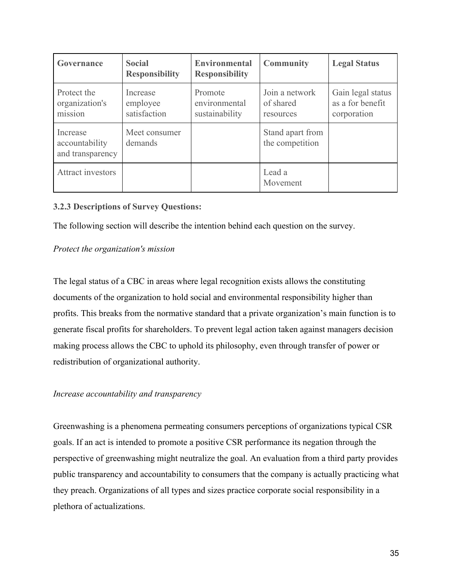| Governance                                     | <b>Social</b><br><b>Responsibility</b> | <b>Environmental</b><br><b>Responsibility</b> | <b>Community</b>                         | <b>Legal Status</b>                                  |
|------------------------------------------------|----------------------------------------|-----------------------------------------------|------------------------------------------|------------------------------------------------------|
| Protect the<br>organization's<br>mission       | Increase<br>employee<br>satisfaction   | Promote<br>environmental<br>sustainability    | Join a network<br>of shared<br>resources | Gain legal status<br>as a for benefit<br>corporation |
| Increase<br>accountability<br>and transparency | Meet consumer<br>demands               |                                               | Stand apart from<br>the competition      |                                                      |
| <b>Attract investors</b>                       |                                        |                                               | Lead a<br>Movement                       |                                                      |

#### <span id="page-34-0"></span>**3.2.3 Descriptions of Survey Questions:**

The following section will describe the intention behind each question on the survey.

#### *Protect the organization's mission*

The legal status of a CBC in areas where legal recognition exists allows the constituting documents of the organization to hold social and environmental responsibility higher than profits. This breaks from the normative standard that a private organization's main function is to generate fiscal profits for shareholders. To prevent legal action taken against managers decision making process allows the CBC to uphold its philosophy, even through transfer of power or redistribution of organizational authority.

#### *Increase accountability and transparency*

Greenwashing is a phenomena permeating consumers perceptions of organizations typical CSR goals. If an act is intended to promote a positive CSR performance its negation through the perspective of greenwashing might neutralize the goal. An evaluation from a third party provides public transparency and accountability to consumers that the company is actually practicing what they preach. Organizations of all types and sizes practice corporate social responsibility in a plethora of actualizations.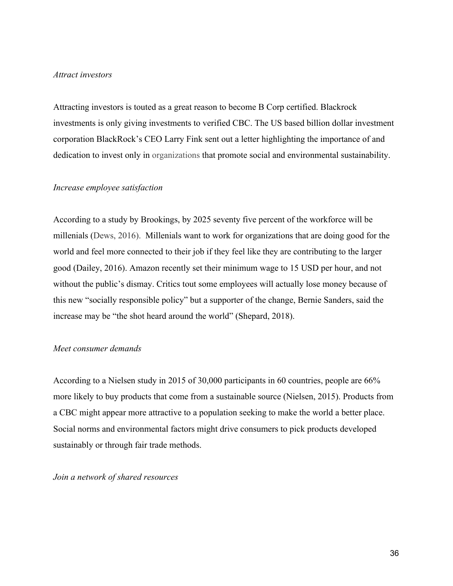#### *Attract investors*

Attracting investors is touted as a great reason to become B Corp certified. Blackrock investments is only giving investments to verified CBC. The US based billion dollar investment corporation BlackRock's CEO Larry Fink sent out a letter highlighting the importance of and dedication to invest only in organizations that promote social and environmental sustainability.

#### *Increase employee satisfaction*

According to a study by Brookings, by 2025 seventy five percent of the workforce will be millenials (Dews, 2016). Millenials want to work for organizations that are doing good for the world and feel more connected to their job if they feel like they are contributing to the larger good (Dailey, 2016). Amazon recently set their minimum wage to 15 USD per hour, and not without the public's dismay. Critics tout some employees will actually lose money because of this new "socially responsible policy" but a supporter of the change, Bernie Sanders, said the increase may be "the shot heard around the world" (Shepard, 2018).

#### *Meet consumer demands*

According to a Nielsen study in 2015 of 30,000 participants in 60 countries, people are 66% more likely to buy products that come from a sustainable source (Nielsen, 2015). Products from a CBC might appear more attractive to a population seeking to make the world a better place. Social norms and environmental factors might drive consumers to pick products developed sustainably or through fair trade methods.

*Join a network of shared resources*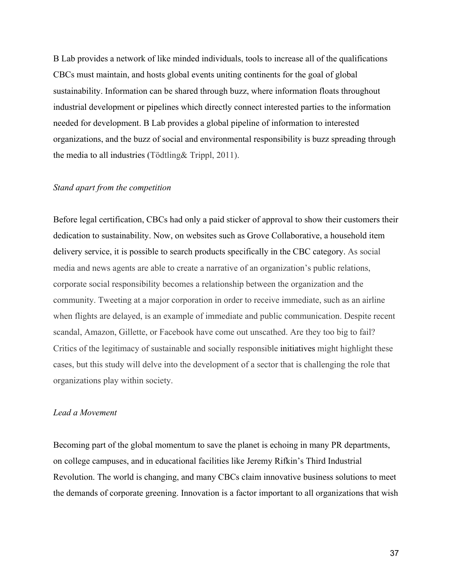B Lab provides a network of like minded individuals, tools to increase all of the qualifications CBCs must maintain, and hosts global events uniting continents for the goal of global sustainability. Information can be shared through buzz, where information floats throughout industrial development or pipelines which directly connect interested parties to the information needed for development. B Lab provides a global pipeline of information to interested organizations, and the buzz of social and environmental responsibility is buzz spreading through the media to all industries (Tödtling& Trippl, 2011).

#### *Stand apart from the competition*

Before legal certification, CBCs had only a paid sticker of approval to show their customers their dedication to sustainability. Now, on websites such as Grove Collaborative, a household item delivery service, it is possible to search products specifically in the CBC category. As social media and news agents are able to create a narrative of an organization's public relations, corporate social responsibility becomes a relationship between the organization and the community. Tweeting at a major corporation in order to receive immediate, such as an airline when flights are delayed, is an example of immediate and public communication. Despite recent scandal, Amazon, Gillette, or Facebook have come out unscathed. Are they too big to fail? Critics of the legitimacy of sustainable and socially responsible initiatives might highlight these cases, but this study will delve into the development of a sector that is challenging the role that organizations play within society.

#### *Lead a Movement*

Becoming part of the global momentum to save the planet is echoing in many PR departments, on college campuses, and in educational facilities like Jeremy Rifkin's Third Industrial Revolution. The world is changing, and many CBCs claim innovative business solutions to meet the demands of corporate greening. Innovation is a factor important to all organizations that wish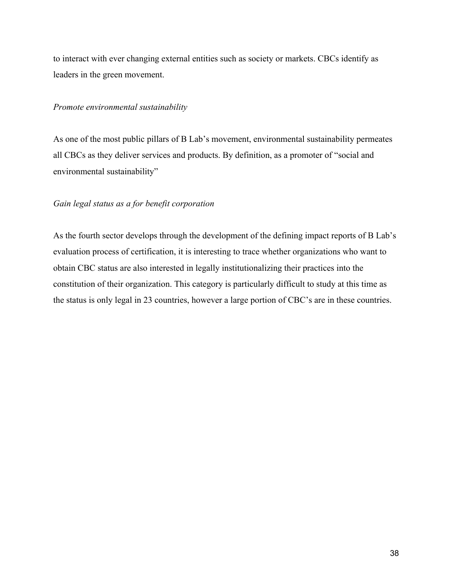to interact with ever changing external entities such as society or markets. CBCs identify as leaders in the green movement.

#### *Promote environmental sustainability*

As one of the most public pillars of B Lab's movement, environmental sustainability permeates all CBCs as they deliver services and products. By definition, as a promoter of "social and environmental sustainability"

#### *Gain legal status as a for benefit corporation*

As the fourth sector develops through the development of the defining impact reports of B Lab's evaluation process of certification, it is interesting to trace whether organizations who want to obtain CBC status are also interested in legally institutionalizing their practices into the constitution of their organization. This category is particularly difficult to study at this time as the status is only legal in 23 countries, however a large portion of CBC's are in these countries.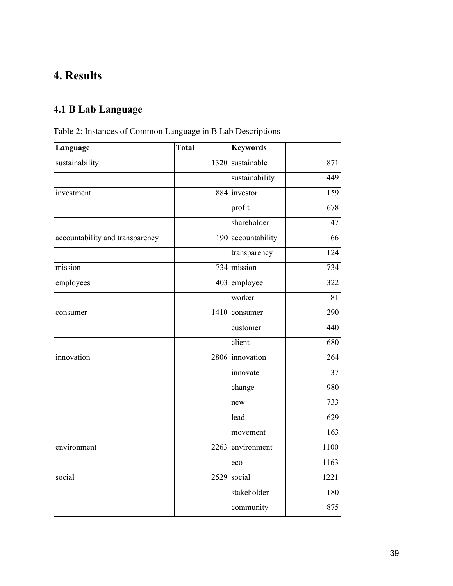## **4. Results**

## **4.1 B Lab Language**

## Table 2: Instances of Common Language in B Lab Descriptions

| Language                        | <b>Total</b> | <b>Keywords</b>    |      |
|---------------------------------|--------------|--------------------|------|
| sustainability                  |              | 1320 sustainable   | 871  |
|                                 |              | sustainability     | 449  |
| investment                      |              | 884 investor       | 159  |
|                                 |              | profit             | 678  |
|                                 |              | shareholder        | 47   |
| accountability and transparency |              | 190 accountability | 66   |
|                                 |              | transparency       | 124  |
| mission                         |              | 734 mission        | 734  |
| employees                       |              | 403 employee       | 322  |
|                                 |              | worker             | 81   |
| consumer                        |              | 1410 consumer      | 290  |
|                                 |              | customer           | 440  |
|                                 |              | client             | 680  |
| innovation                      |              | 2806 innovation    | 264  |
|                                 |              | innovate           | 37   |
|                                 |              | change             | 980  |
|                                 |              | new                | 733  |
|                                 |              | lead               | 629  |
|                                 |              | movement           | 163  |
| environment                     |              | 2263 environment   | 1100 |
|                                 |              | eco                | 1163 |
| social                          |              | $2529$ social      | 1221 |
|                                 |              | stakeholder        | 180  |
|                                 |              | community          | 875  |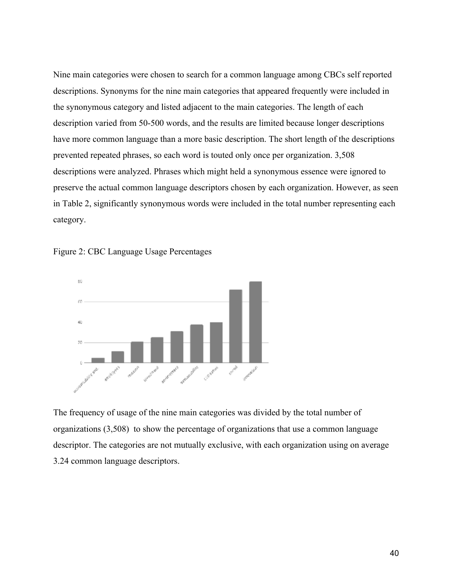Nine main categories were chosen to search for a common language among CBCs self reported descriptions. Synonyms for the nine main categories that appeared frequently were included in the synonymous category and listed adjacent to the main categories. The length of each description varied from 50-500 words, and the results are limited because longer descriptions have more common language than a more basic description. The short length of the descriptions prevented repeated phrases, so each word is touted only once per organization. 3,508 descriptions were analyzed. Phrases which might held a synonymous essence were ignored to preserve the actual common language descriptors chosen by each organization. However, as seen in Table 2, significantly synonymous words were included in the total number representing each category.





The frequency of usage of the nine main categories was divided by the total number of organizations (3,508) to show the percentage of organizations that use a common language descriptor. The categories are not mutually exclusive, with each organization using on average 3.24 common language descriptors.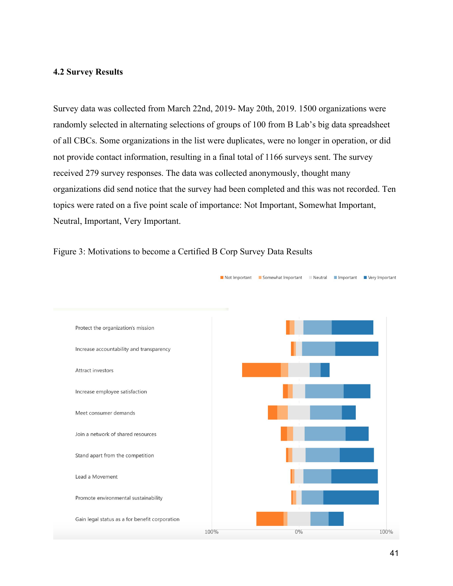#### **4.2 Survey Results**

Survey data was collected from March 22nd, 2019- May 20th, 2019. 1500 organizations were randomly selected in alternating selections of groups of 100 from B Lab's big data spreadsheet of all CBCs. Some organizations in the list were duplicates, were no longer in operation, or did not provide contact information, resulting in a final total of 1166 surveys sent. The survey received 279 survey responses. The data was collected anonymously, thought many organizations did send notice that the survey had been completed and this was not recorded. Ten topics were rated on a five point scale of importance: Not Important, Somewhat Important, Neutral, Important, Very Important.



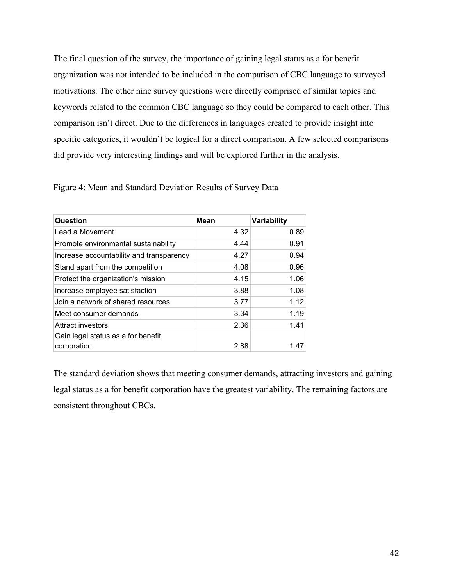The final question of the survey, the importance of gaining legal status as a for benefit organization was not intended to be included in the comparison of CBC language to surveyed motivations. The other nine survey questions were directly comprised of similar topics and keywords related to the common CBC language so they could be compared to each other. This comparison isn't direct. Due to the differences in languages created to provide insight into specific categories, it wouldn't be logical for a direct comparison. A few selected comparisons did provide very interesting findings and will be explored further in the analysis.

| Question                                 | <b>Mean</b> | <b>Variability</b> |
|------------------------------------------|-------------|--------------------|
| Lead a Movement                          | 4.32        | 0.89               |
| Promote environmental sustainability     | 4.44        | 0.91               |
| Increase accountability and transparency | 4.27        | 0.94               |
| Stand apart from the competition         | 4.08        | 0.96               |
| Protect the organization's mission       | 4.15        | 1.06               |
| Increase employee satisfaction           | 3.88        | 1.08               |
| Join a network of shared resources       | 3.77        | 1.12               |
| Meet consumer demands                    | 3.34        | 1.19               |
| <b>Attract investors</b>                 | 2.36        | 1.41               |
| Gain legal status as a for benefit       |             |                    |
| corporation                              | 2.88        | 1.47               |

Figure 4: Mean and Standard Deviation Results of Survey Data

The standard deviation shows that meeting consumer demands, attracting investors and gaining legal status as a for benefit corporation have the greatest variability. The remaining factors are consistent throughout CBCs.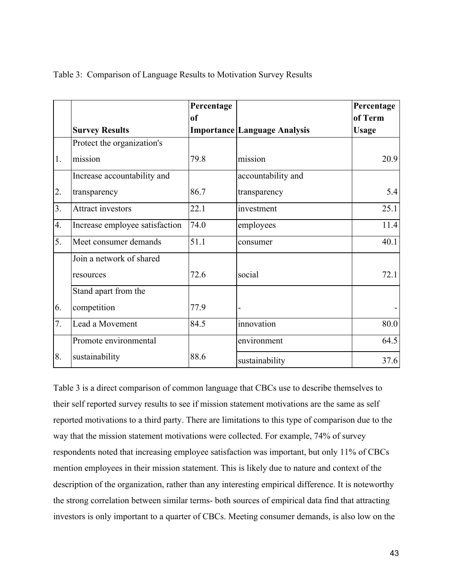|                |                                | Percentage    |                                     | Percentage   |
|----------------|--------------------------------|---------------|-------------------------------------|--------------|
|                |                                | <sub>of</sub> |                                     | of Term      |
|                | <b>Survey Results</b>          |               | <b>Importance Language Analysis</b> | <b>Usage</b> |
|                | Protect the organization's     |               |                                     |              |
| 1.             | mission                        | 79.8          | mission                             | 20.9         |
|                | Increase accountability and    |               | accountability and                  |              |
| 2.             | transparency                   | 86.7          | transparency                        | 5.4          |
| 3 <sub>1</sub> | <b>Attract investors</b>       | 22.1          | investment                          | 25.1         |
| 4.             | Increase employee satisfaction | 74.0          | employees                           | 11.4         |
| 5.             | Meet consumer demands          | 51.1          | consumer                            | 40.1         |
|                | Join a network of shared       |               |                                     |              |
|                | resources                      | 72.6          | social                              | 72.1         |
|                | Stand apart from the           |               |                                     |              |
| 6.             | competition                    | 77.9          | -                                   |              |
| 7.             | Lead a Movement                | 84.5          | innovation                          | 80.0         |
|                | Promote environmental          |               | environment                         | 64.5         |
| 8.             | sustainability                 | 88.6          | sustainability                      | 37.6         |

Table 3: Comparison of Language Results to Motivation Survey Results

Table 3 is a direct comparison of common language that CBCs use to describe themselves to their self reported survey results to see if mission statement motivations are the same as self reported motivations to a third party. There are limitations to this type of comparison due to the way that the mission statement motivations were collected. For example, 74% of survey respondents noted that increasing employee satisfaction was important, but only 11% of CBCs mention employees in their mission statement. This is likely due to nature and context of the description of the organization, rather than any interesting empirical difference. It is noteworthy the strong correlation between similar terms- both sources of empirical data find that attracting investors is only important to a quarter of CBCs. Meeting consumer demands, is also low on the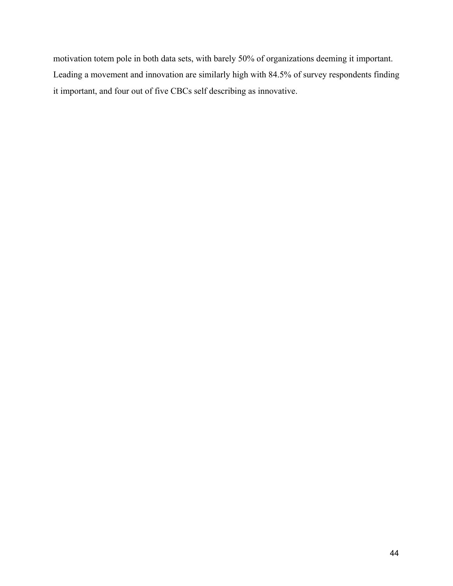motivation totem pole in both data sets, with barely 50% of organizations deeming it important. Leading a movement and innovation are similarly high with 84.5% of survey respondents finding it important, and four out of five CBCs self describing as innovative.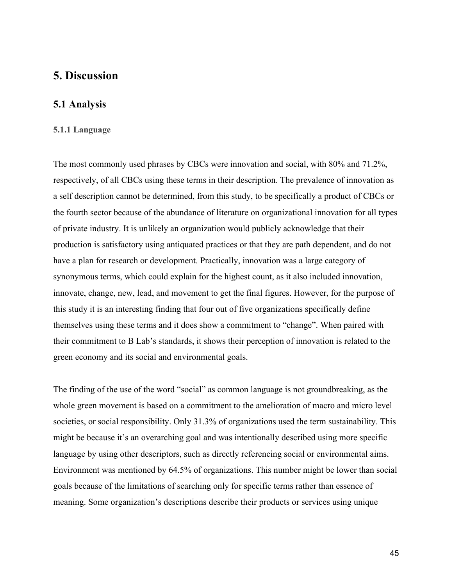### <span id="page-44-0"></span>**5. Discussion**

#### **5.1 Analysis**

#### **5.1.1 Language**

The most commonly used phrases by CBCs were innovation and social, with 80% and 71.2%, respectively, of all CBCs using these terms in their description. The prevalence of innovation as a self description cannot be determined, from this study, to be specifically a product of CBCs or the fourth sector because of the abundance of literature on organizational innovation for all types of private industry. It is unlikely an organization would publicly acknowledge that their production is satisfactory using antiquated practices or that they are path dependent, and do not have a plan for research or development. Practically, innovation was a large category of synonymous terms, which could explain for the highest count, as it also included innovation, innovate, change, new, lead, and movement to get the final figures. However, for the purpose of this study it is an interesting finding that four out of five organizations specifically define themselves using these terms and it does show a commitment to "change". When paired with their commitment to B Lab's standards, it shows their perception of innovation is related to the green economy and its social and environmental goals.

The finding of the use of the word "social" as common language is not groundbreaking, as the whole green movement is based on a commitment to the amelioration of macro and micro level societies, or social responsibility. Only 31.3% of organizations used the term sustainability. This might be because it's an overarching goal and was intentionally described using more specific language by using other descriptors, such as directly referencing social or environmental aims. Environment was mentioned by 64.5% of organizations. This number might be lower than social goals because of the limitations of searching only for specific terms rather than essence of meaning. Some organization's descriptions describe their products or services using unique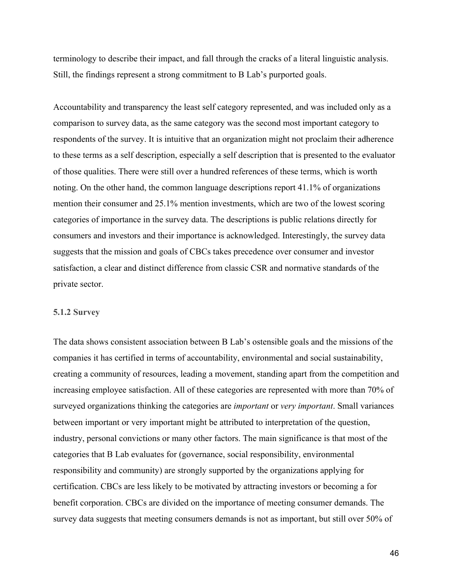terminology to describe their impact, and fall through the cracks of a literal linguistic analysis. Still, the findings represent a strong commitment to B Lab's purported goals.

Accountability and transparency the least self category represented, and was included only as a comparison to survey data, as the same category was the second most important category to respondents of the survey. It is intuitive that an organization might not proclaim their adherence to these terms as a self description, especially a self description that is presented to the evaluator of those qualities. There were still over a hundred references of these terms, which is worth noting. On the other hand, the common language descriptions report 41.1% of organizations mention their consumer and 25.1% mention investments, which are two of the lowest scoring categories of importance in the survey data. The descriptions is public relations directly for consumers and investors and their importance is acknowledged. Interestingly, the survey data suggests that the mission and goals of CBCs takes precedence over consumer and investor satisfaction, a clear and distinct difference from classic CSR and normative standards of the private sector.

#### **5.1.2 Survey**

The data shows consistent association between B Lab's ostensible goals and the missions of the companies it has certified in terms of accountability, environmental and social sustainability, creating a community of resources, leading a movement, standing apart from the competition and increasing employee satisfaction. All of these categories are represented with more than 70% of surveyed organizations thinking the categories are *important* or *very important*. Small variances between important or very important might be attributed to interpretation of the question, industry, personal convictions or many other factors. The main significance is that most of the categories that B Lab evaluates for (governance, social responsibility, environmental responsibility and community) are strongly supported by the organizations applying for certification. CBCs are less likely to be motivated by attracting investors or becoming a for benefit corporation. CBCs are divided on the importance of meeting consumer demands. The survey data suggests that meeting consumers demands is not as important, but still over 50% of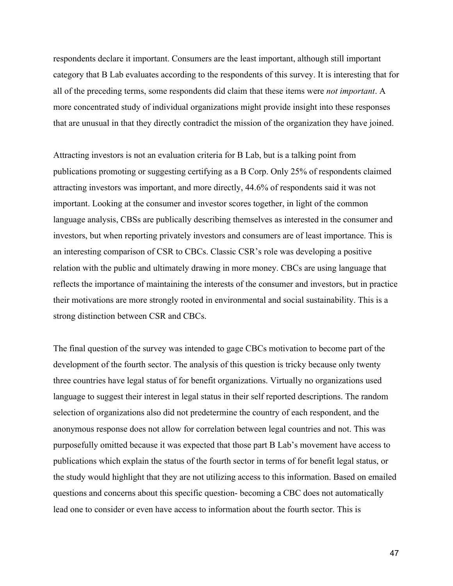respondents declare it important. Consumers are the least important, although still important category that B Lab evaluates according to the respondents of this survey. It is interesting that for all of the preceding terms, some respondents did claim that these items were *not important*. A more concentrated study of individual organizations might provide insight into these responses that are unusual in that they directly contradict the mission of the organization they have joined.

Attracting investors is not an evaluation criteria for B Lab, but is a talking point from publications promoting or suggesting certifying as a B Corp. Only 25% of respondents claimed attracting investors was important, and more directly, 44.6% of respondents said it was not important. Looking at the consumer and investor scores together, in light of the common language analysis, CBSs are publically describing themselves as interested in the consumer and investors, but when reporting privately investors and consumers are of least importance. This is an interesting comparison of CSR to CBCs. Classic CSR's role was developing a positive relation with the public and ultimately drawing in more money. CBCs are using language that reflects the importance of maintaining the interests of the consumer and investors, but in practice their motivations are more strongly rooted in environmental and social sustainability. This is a strong distinction between CSR and CBCs.

The final question of the survey was intended to gage CBCs motivation to become part of the development of the fourth sector. The analysis of this question is tricky because only twenty three countries have legal status of for benefit organizations. Virtually no organizations used language to suggest their interest in legal status in their self reported descriptions. The random selection of organizations also did not predetermine the country of each respondent, and the anonymous response does not allow for correlation between legal countries and not. This was purposefully omitted because it was expected that those part B Lab's movement have access to publications which explain the status of the fourth sector in terms of for benefit legal status, or the study would highlight that they are not utilizing access to this information. Based on emailed questions and concerns about this specific question- becoming a CBC does not automatically lead one to consider or even have access to information about the fourth sector. This is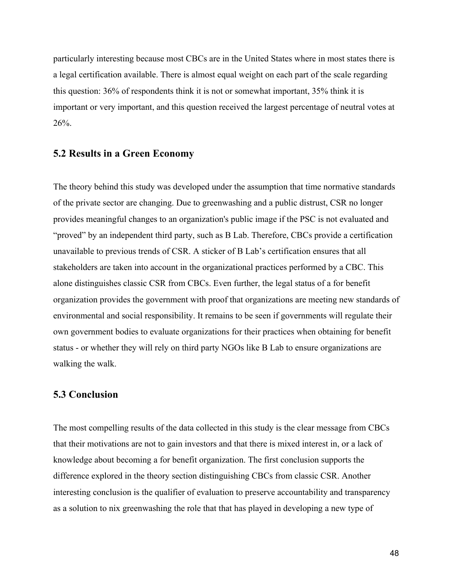particularly interesting because most CBCs are in the United States where in most states there is a legal certification available. There is almost equal weight on each part of the scale regarding this question: 36% of respondents think it is not or somewhat important, 35% think it is important or very important, and this question received the largest percentage of neutral votes at 26%.

#### **5.2 Results in a Green Economy**

The theory behind this study was developed under the assumption that time normative standards of the private sector are changing. Due to greenwashing and a public distrust, CSR no longer provides meaningful changes to an organization's public image if the PSC is not evaluated and "proved" by an independent third party, such as B Lab. Therefore, CBCs provide a certification unavailable to previous trends of CSR. A sticker of B Lab's certification ensures that all stakeholders are taken into account in the organizational practices performed by a CBC. This alone distinguishes classic CSR from CBCs. Even further, the legal status of a for benefit organization provides the government with proof that organizations are meeting new standards of environmental and social responsibility. It remains to be seen if governments will regulate their own government bodies to evaluate organizations for their practices when obtaining for benefit status - or whether they will rely on third party NGOs like B Lab to ensure organizations are walking the walk.

#### **5.3 Conclusion**

The most compelling results of the data collected in this study is the clear message from CBCs that their motivations are not to gain investors and that there is mixed interest in, or a lack of knowledge about becoming a for benefit organization. The first conclusion supports the difference explored in the theory section distinguishing CBCs from classic CSR. Another interesting conclusion is the qualifier of evaluation to preserve accountability and transparency as a solution to nix greenwashing the role that that has played in developing a new type of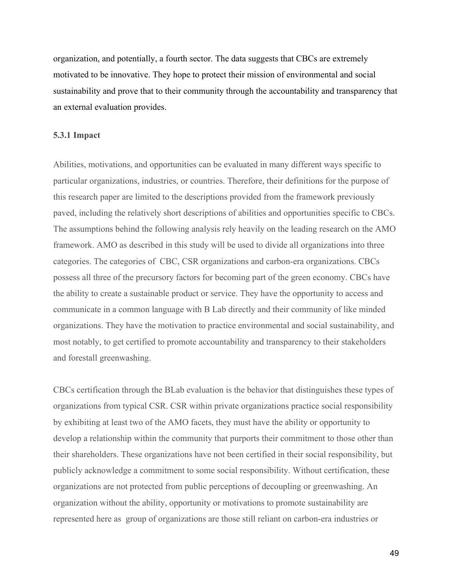organization, and potentially, a fourth sector. The data suggests that CBCs are extremely motivated to be innovative. They hope to protect their mission of environmental and social sustainability and prove that to their community through the accountability and transparency that an external evaluation provides.

#### <span id="page-48-0"></span>**5.3.1 Impact**

Abilities, motivations, and opportunities can be evaluated in many different ways specific to particular organizations, industries, or countries. Therefore, their definitions for the purpose of this research paper are limited to the descriptions provided from the framework previously paved, including the relatively short descriptions of abilities and opportunities specific to CBCs. The assumptions behind the following analysis rely heavily on the leading research on the AMO framework. AMO as described in this study will be used to divide all organizations into three categories. The categories of CBC, CSR organizations and carbon-era organizations. CBCs possess all three of the precursory factors for becoming part of the green economy. CBCs have the ability to create a sustainable product or service. They have the opportunity to access and communicate in a common language with B Lab directly and their community of like minded organizations. They have the motivation to practice environmental and social sustainability, and most notably, to get certified to promote accountability and transparency to their stakeholders and forestall greenwashing.

CBCs certification through the BLab evaluation is the behavior that distinguishes these types of organizations from typical CSR. CSR within private organizations practice social responsibility by exhibiting at least two of the AMO facets, they must have the ability or opportunity to develop a relationship within the community that purports their commitment to those other than their shareholders. These organizations have not been certified in their social responsibility, but publicly acknowledge a commitment to some social responsibility. Without certification, these organizations are not protected from public perceptions of decoupling or greenwashing. An organization without the ability, opportunity or motivations to promote sustainability are represented here as group of organizations are those still reliant on carbon-era industries or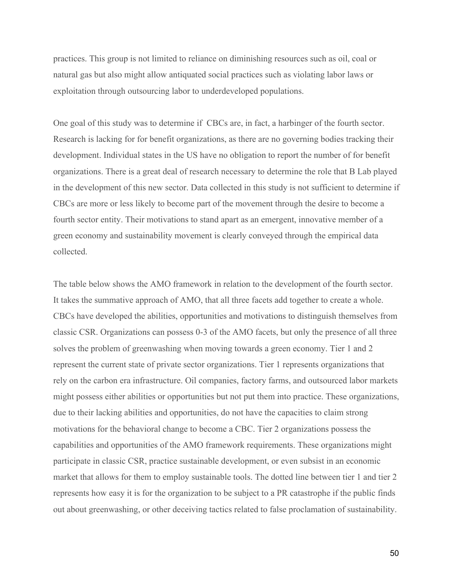practices. This group is not limited to reliance on diminishing resources such as oil, coal or natural gas but also might allow antiquated social practices such as violating labor laws or exploitation through outsourcing labor to underdeveloped populations.

One goal of this study was to determine if CBCs are, in fact, a harbinger of the fourth sector. Research is lacking for for benefit organizations, as there are no governing bodies tracking their development. Individual states in the US have no obligation to report the number of for benefit organizations. There is a great deal of research necessary to determine the role that B Lab played in the development of this new sector. Data collected in this study is not sufficient to determine if CBCs are more or less likely to become part of the movement through the desire to become a fourth sector entity. Their motivations to stand apart as an emergent, innovative member of a green economy and sustainability movement is clearly conveyed through the empirical data collected.

The table below shows the AMO framework in relation to the development of the fourth sector. It takes the summative approach of AMO, that all three facets add together to create a whole. CBCs have developed the abilities, opportunities and motivations to distinguish themselves from classic CSR. Organizations can possess 0-3 of the AMO facets, but only the presence of all three solves the problem of greenwashing when moving towards a green economy. Tier 1 and 2 represent the current state of private sector organizations. Tier 1 represents organizations that rely on the carbon era infrastructure. Oil companies, factory farms, and outsourced labor markets might possess either abilities or opportunities but not put them into practice. These organizations, due to their lacking abilities and opportunities, do not have the capacities to claim strong motivations for the behavioral change to become a CBC. Tier 2 organizations possess the capabilities and opportunities of the AMO framework requirements. These organizations might participate in classic CSR, practice sustainable development, or even subsist in an economic market that allows for them to employ sustainable tools. The dotted line between tier 1 and tier 2 represents how easy it is for the organization to be subject to a PR catastrophe if the public finds out about greenwashing, or other deceiving tactics related to false proclamation of sustainability.

50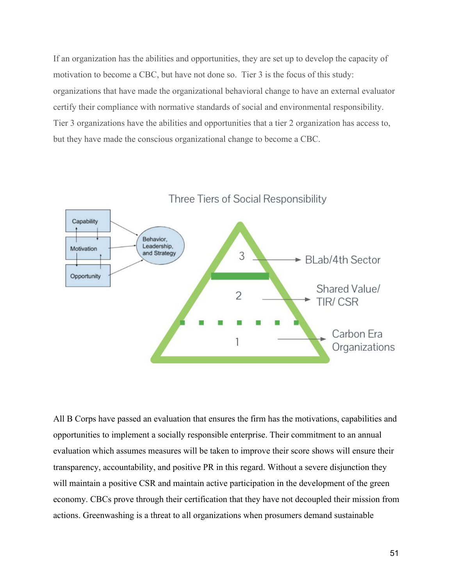If an organization has the abilities and opportunities, they are set up to develop the capacity of motivation to become a CBC, but have not done so. Tier 3 is the focus of this study: organizations that have made the organizational behavioral change to have an external evaluator certify their compliance with normative standards of social and environmental responsibility. Tier 3 organizations have the abilities and opportunities that a tier 2 organization has access to, but they have made the conscious organizational change to become a CBC.



All B Corps have passed an evaluation that ensures the firm has the motivations, capabilities and opportunities to implement a socially responsible enterprise. Their commitment to an annual evaluation which assumes measures will be taken to improve their score shows will ensure their transparency, accountability, and positive PR in this regard. Without a severe disjunction they will maintain a positive CSR and maintain active participation in the development of the green economy. CBCs prove through their certification that they have not decoupled their mission from actions. Greenwashing is a threat to all organizations when prosumers demand sustainable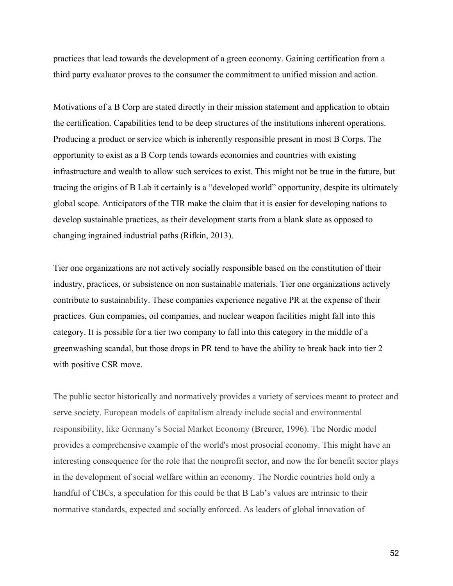practices that lead towards the development of a green economy. Gaining certification from a third party evaluator proves to the consumer the commitment to unified mission and action.

Motivations of a B Corp are stated directly in their mission statement and application to obtain the certification. Capabilities tend to be deep structures of the institutions inherent operations. Producing a product or service which is inherently responsible present in most B Corps. The opportunity to exist as a B Corp tends towards economies and countries with existing infrastructure and wealth to allow such services to exist. This might not be true in the future, but tracing the origins of B Lab it certainly is a "developed world" opportunity, despite its ultimately global scope. Anticipators of the TIR make the claim that it is easier for developing nations to develop sustainable practices, as their development starts from a blank slate as opposed to changing ingrained industrial paths (Rifkin, 2013).

Tier one organizations are not actively socially responsible based on the constitution of their industry, practices, or subsistence on non sustainable materials. Tier one organizations actively contribute to sustainability. These companies experience negative PR at the expense of their practices. Gun companies, oil companies, and nuclear weapon facilities might fall into this category. It is possible for a tier two company to fall into this category in the middle of a greenwashing scandal, but those drops in PR tend to have the ability to break back into tier 2 with positive CSR move.

The public sector historically and normatively provides a variety of services meant to protect and serve society. European models of capitalism already include social and environmental responsibility, like Germany's Social Market Economy (Breurer, 1996). The Nordic model provides a comprehensive example of the world's most prosocial economy. This might have an interesting consequence for the role that the nonprofit sector, and now the for benefit sector plays in the development of social welfare within an economy. The Nordic countries hold only a handful of CBCs, a speculation for this could be that B Lab's values are intrinsic to their normative standards, expected and socially enforced. As leaders of global innovation of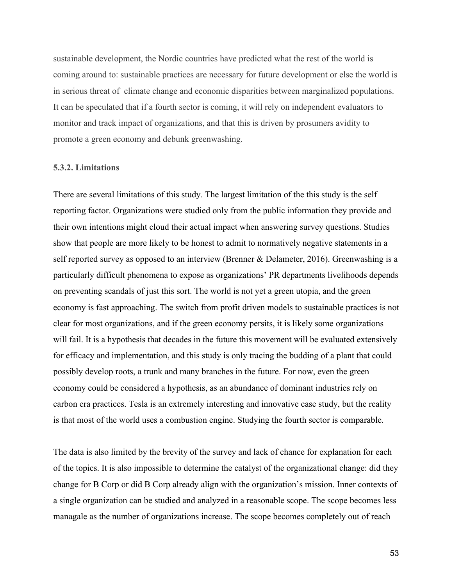sustainable development, the Nordic countries have predicted what the rest of the world is coming around to: sustainable practices are necessary for future development or else the world is in serious threat of climate change and economic disparities between marginalized populations. It can be speculated that if a fourth sector is coming, it will rely on independent evaluators to monitor and track impact of organizations, and that this is driven by prosumers avidity to promote a green economy and debunk greenwashing.

#### <span id="page-52-0"></span>**5.3.2. Limitations**

There are several limitations of this study. The largest limitation of the this study is the self reporting factor. Organizations were studied only from the public information they provide and their own intentions might cloud their actual impact when answering survey questions. Studies show that people are more likely to be honest to admit to normatively negative statements in a self reported survey as opposed to an interview (Brenner & Delameter, 2016). Greenwashing is a particularly difficult phenomena to expose as organizations' PR departments livelihoods depends on preventing scandals of just this sort. The world is not yet a green utopia, and the green economy is fast approaching. The switch from profit driven models to sustainable practices is not clear for most organizations, and if the green economy persits, it is likely some organizations will fail. It is a hypothesis that decades in the future this movement will be evaluated extensively for efficacy and implementation, and this study is only tracing the budding of a plant that could possibly develop roots, a trunk and many branches in the future. For now, even the green economy could be considered a hypothesis, as an abundance of dominant industries rely on carbon era practices. Tesla is an extremely interesting and innovative case study, but the reality is that most of the world uses a combustion engine. Studying the fourth sector is comparable.

The data is also limited by the brevity of the survey and lack of chance for explanation for each of the topics. It is also impossible to determine the catalyst of the organizational change: did they change for B Corp or did B Corp already align with the organization's mission. Inner contexts of a single organization can be studied and analyzed in a reasonable scope. The scope becomes less managale as the number of organizations increase. The scope becomes completely out of reach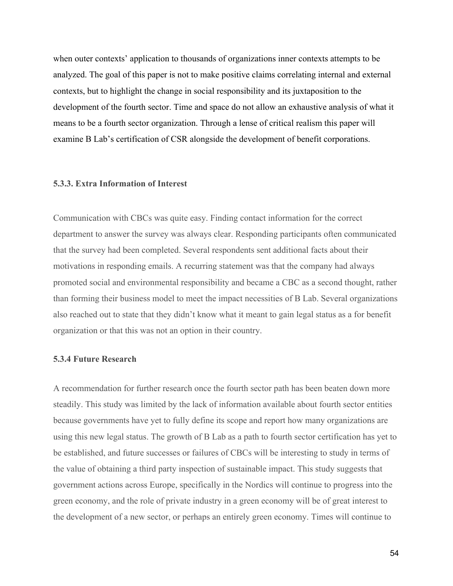when outer contexts' application to thousands of organizations inner contexts attempts to be analyzed. The goal of this paper is not to make positive claims correlating internal and external contexts, but to highlight the change in social responsibility and its juxtaposition to the development of the fourth sector. Time and space do not allow an exhaustive analysis of what it means to be a fourth sector organization. Through a lense of critical realism this paper will examine B Lab's certification of CSR alongside the development of benefit corporations.

#### **5.3.3. Extra Information of Interest**

Communication with CBCs was quite easy. Finding contact information for the correct department to answer the survey was always clear. Responding participants often communicated that the survey had been completed. Several respondents sent additional facts about their motivations in responding emails. A recurring statement was that the company had always promoted social and environmental responsibility and became a CBC as a second thought, rather than forming their business model to meet the impact necessities of B Lab. Several organizations also reached out to state that they didn't know what it meant to gain legal status as a for benefit organization or that this was not an option in their country.

#### **5.3.4 Future Research**

A recommendation for further research once the fourth sector path has been beaten down more steadily. This study was limited by the lack of information available about fourth sector entities because governments have yet to fully define its scope and report how many organizations are using this new legal status. The growth of B Lab as a path to fourth sector certification has yet to be established, and future successes or failures of CBCs will be interesting to study in terms of the value of obtaining a third party inspection of sustainable impact. This study suggests that government actions across Europe, specifically in the Nordics will continue to progress into the green economy, and the role of private industry in a green economy will be of great interest to the development of a new sector, or perhaps an entirely green economy. Times will continue to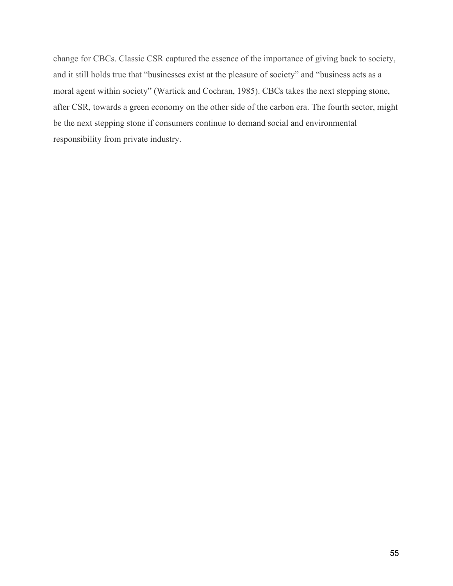change for CBCs. Classic CSR captured the essence of the importance of giving back to society, and it still holds true that "businesses exist at the pleasure of society" and "business acts as a moral agent within society" (Wartick and Cochran, 1985). CBCs takes the next stepping stone, after CSR, towards a green economy on the other side of the carbon era. The fourth sector, might be the next stepping stone if consumers continue to demand social and environmental responsibility from private industry.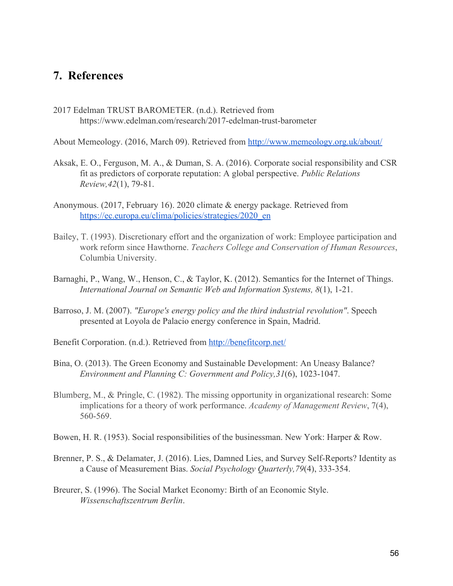## **7. References**

2017 Edelman TRUST BAROMETER. (n.d.). Retrieved from https://www.edelman.com/research/2017-edelman-trust-barometer

About Memeology. (2016, March 09). Retrieved from<http://www.memeology.org.uk/about/>

- Aksak, E. O., Ferguson, M. A., & Duman, S. A. (2016). Corporate social responsibility and CSR fit as predictors of corporate reputation: A global perspective. *Public Relations Review,42*(1), 79-81.
- Anonymous. (2017, February 16). 2020 climate & energy package. Retrieved from [https://ec.europa.eu/clima/policies/strategies/2020\\_en](https://ec.europa.eu/clima/policies/strategies/2020_en)
- Bailey, T. (1993). Discretionary effort and the organization of work: Employee participation and work reform since Hawthorne. *Teachers College and Conservation of Human Resources*, Columbia University.
- Barnaghi, P., Wang, W., Henson, C., & Taylor, K. (2012). Semantics for the Internet of Things. *International Journal on Semantic Web and Information Systems, 8*(1), 1-21.
- Barroso, J. M. (2007). *"Europe's energy policy and the third industrial revolution"*. Speech presented at Loyola de Palacio energy conference in Spain, Madrid.
- Benefit Corporation. (n.d.). Retrieved from<http://benefitcorp.net/>
- Bina, O. (2013). The Green Economy and Sustainable Development: An Uneasy Balance? *Environment and Planning C: Government and Policy,31*(6), 1023-1047.
- Blumberg, M., & Pringle, C. (1982). The missing opportunity in organizational research: Some implications for a theory of work performance. *Academy of Management Review*, 7(4), 560-569.
- Bowen, H. R. (1953). Social responsibilities of the businessman. New York: Harper & Row.
- Brenner, P. S., & Delamater, J. (2016). Lies, Damned Lies, and Survey Self-Reports? Identity as a Cause of Measurement Bias. *Social Psychology Quarterly,79*(4), 333-354.
- Breurer, S. (1996). The Social Market Economy: Birth of an Economic Style. *Wissenschaftszentrum Berlin*.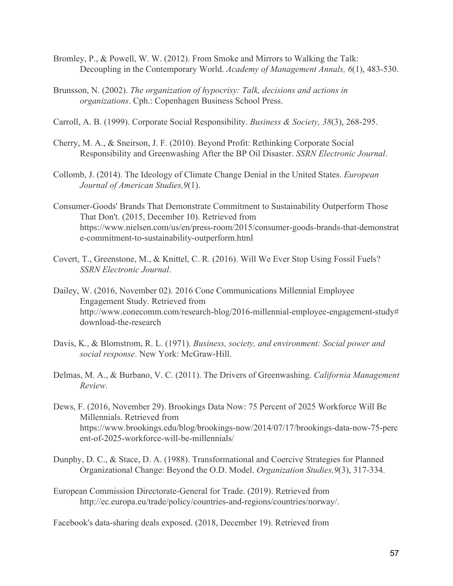- Bromley, P., & Powell, W. W. (2012). From Smoke and Mirrors to Walking the Talk: Decoupling in the Contemporary World. *Academy of Management Annals, 6*(1), 483-530.
- Brunsson, N. (2002). *The organization of hypocrisy: Talk, decisions and actions in organizations*. Cph.: Copenhagen Business School Press.
- Carroll, A. B. (1999). Corporate Social Responsibility. *Business & Society, 38*(3), 268-295.
- Cherry, M. A., & Sneirson, J. F. (2010). Beyond Profit: Rethinking Corporate Social Responsibility and Greenwashing After the BP Oil Disaster. *SSRN Electronic Journal*.
- Collomb, J. (2014). The Ideology of Climate Change Denial in the United States. *European Journal of American Studies,9*(1).
- Consumer-Goods' Brands That Demonstrate Commitment to Sustainability Outperform Those That Don't. (2015, December 10). Retrieved from https://www.nielsen.com/us/en/press-room/2015/consumer-goods-brands-that-demonstrat e-commitment-to-sustainability-outperform.html
- Covert, T., Greenstone, M., & Knittel, C. R. (2016). Will We Ever Stop Using Fossil Fuels? *SSRN Electronic Journal*.
- Dailey, W. (2016, November 02). 2016 Cone Communications Millennial Employee Engagement Study. Retrieved from http://www.conecomm.com/research-blog/2016-millennial-employee-engagement-study# download-the-research
- Davis, K., & Blomstrom, R. L. (1971). *Business, society, and environment: Social power and social response*. New York: McGraw-Hill.
- Delmas, M. A., & Burbano, V. C. (2011). The Drivers of Greenwashing. *California Management Review*.
- Dews, F. (2016, November 29). Brookings Data Now: 75 Percent of 2025 Workforce Will Be Millennials. Retrieved from https://www.brookings.edu/blog/brookings-now/2014/07/17/brookings-data-now-75-perc ent-of-2025-workforce-will-be-millennials/
- Dunphy, D. C., & Stace, D. A. (1988). Transformational and Coercive Strategies for Planned Organizational Change: Beyond the O.D. Model. *Organization Studies,9*(3), 317-334.
- European Commission Directorate-General for Trade. (2019). Retrieved from http://ec.europa.eu/trade/policy/countries-and-regions/countries/norway/.

Facebook's data-sharing deals exposed. (2018, December 19). Retrieved from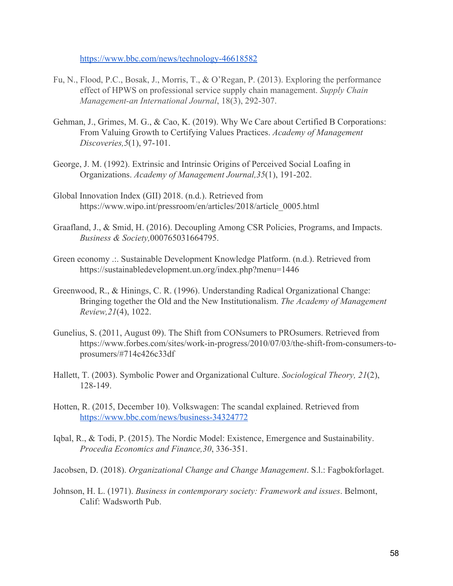<https://www.bbc.com/news/technology-46618582>

- Fu, N., Flood, P.C., Bosak, J., Morris, T., & O'Regan, P. (2013). Exploring the performance effect of HPWS on professional service supply chain management. *Supply Chain Management-an International Journal*, 18(3), 292-307.
- Gehman, J., Grimes, M. G., & Cao, K. (2019). Why We Care about Certified B Corporations: From Valuing Growth to Certifying Values Practices. *Academy of Management Discoveries,5*(1), 97-101.
- George, J. M. (1992). Extrinsic and Intrinsic Origins of Perceived Social Loafing in Organizations. *Academy of Management Journal,35*(1), 191-202.
- Global Innovation Index (GII) 2018. (n.d.). Retrieved from https://www.wipo.int/pressroom/en/articles/2018/article\_0005.html
- Graafland, J., & Smid, H. (2016). Decoupling Among CSR Policies, Programs, and Impacts. *Business & Society,*000765031664795.
- Green economy .:. Sustainable Development Knowledge Platform. (n.d.). Retrieved from https://sustainabledevelopment.un.org/index.php?menu=1446
- Greenwood, R., & Hinings, C. R. (1996). Understanding Radical Organizational Change: Bringing together the Old and the New Institutionalism. *The Academy of Management Review,21*(4), 1022.
- Gunelius, S. (2011, August 09). The Shift from CONsumers to PROsumers. Retrieved from https://www.forbes.com/sites/work-in-progress/2010/07/03/the-shift-from-consumers-toprosumers/#714c426c33df
- Hallett, T. (2003). Symbolic Power and Organizational Culture. *Sociological Theory, 21*(2), 128-149.
- Hotten, R. (2015, December 10). Volkswagen: The scandal explained. Retrieved from <https://www.bbc.com/news/business-34324772>
- Iqbal, R., & Todi, P. (2015). The Nordic Model: Existence, Emergence and Sustainability. *Procedia Economics and Finance,30*, 336-351.
- Jacobsen, D. (2018). *Organizational Change and Change Management*. S.l.: Fagbokforlaget.
- Johnson, H. L. (1971). *Business in contemporary society: Framework and issues*. Belmont, Calif: Wadsworth Pub.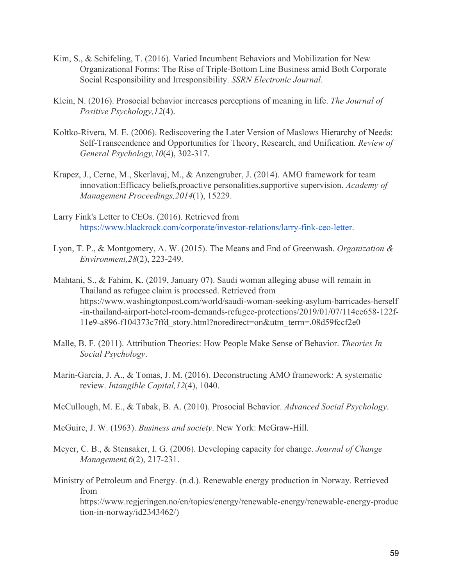- Kim, S., & Schifeling, T. (2016). Varied Incumbent Behaviors and Mobilization for New Organizational Forms: The Rise of Triple-Bottom Line Business amid Both Corporate Social Responsibility and Irresponsibility. *SSRN Electronic Journal*.
- Klein, N. (2016). Prosocial behavior increases perceptions of meaning in life. *The Journal of Positive Psychology,12*(4).
- Koltko-Rivera, M. E. (2006). Rediscovering the Later Version of Maslows Hierarchy of Needs: Self-Transcendence and Opportunities for Theory, Research, and Unification. *Review of General Psychology,10*(4), 302-317.
- Krapez, J., Cerne, M., Skerlavaj, M., & Anzengruber, J. (2014). AMO framework for team innovation:Efficacy beliefs,proactive personalities,supportive supervision. *Academy of Management Proceedings,2014*(1), 15229.
- Larry Fink's Letter to CEOs. (2016). Retrieved from [https://www.blackrock.com/corporate/investor-relations/larry-fink-ceo-letter.](https://www.blackrock.com/corporate/investor-relations/larry-fink-ceo-letter)
- Lyon, T. P., & Montgomery, A. W. (2015). The Means and End of Greenwash. *Organization & Environment,28*(2), 223-249.
- Mahtani, S., & Fahim, K. (2019, January 07). Saudi woman alleging abuse will remain in Thailand as refugee claim is processed. Retrieved from https://www.washingtonpost.com/world/saudi-woman-seeking-asylum-barricades-herself -in-thailand-airport-hotel-room-demands-refugee-protections/2019/01/07/114ce658-122f-11e9-a896-f104373c7ffd\_story.html?noredirect=on&utm\_term=.08d59fccf2e0
- Malle, B. F. (2011). Attribution Theories: How People Make Sense of Behavior. *Theories In Social Psychology*.
- Marin-Garcia, J. A., & Tomas, J. M. (2016). Deconstructing AMO framework: A systematic review. *Intangible Capital,12*(4), 1040.
- McCullough, M. E., & Tabak, B. A. (2010). Prosocial Behavior. *Advanced Social Psychology*.
- McGuire, J. W. (1963). *Business and society*. New York: McGraw-Hill.
- Meyer, C. B., & Stensaker, I. G. (2006). Developing capacity for change. *Journal of Change Management,6*(2), 217-231.
- Ministry of Petroleum and Energy. (n.d.). Renewable energy production in Norway. Retrieved from https://www.regjeringen.no/en/topics/energy/renewable-energy/renewable-energy-produc tion-in-norway/id2343462/)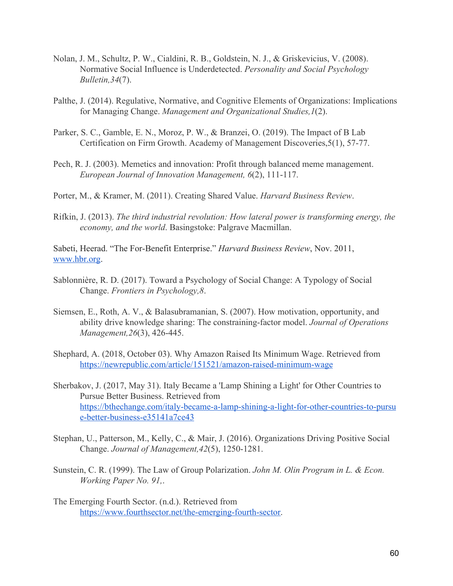- Nolan, J. M., Schultz, P. W., Cialdini, R. B., Goldstein, N. J., & Griskevicius, V. (2008). Normative Social Influence is Underdetected. *Personality and Social Psychology Bulletin,34*(7).
- Palthe, J. (2014). Regulative, Normative, and Cognitive Elements of Organizations: Implications for Managing Change. *Management and Organizational Studies,1*(2).
- Parker, S. C., Gamble, E. N., Moroz, P. W., & Branzei, O. (2019). The Impact of B Lab Certification on Firm Growth. Academy of Management Discoveries,5(1), 57-77.
- Pech, R. J. (2003). Memetics and innovation: Profit through balanced meme management. *European Journal of Innovation Management, 6*(2), 111-117.
- Porter, M., & Kramer, M. (2011). Creating Shared Value. *Harvard Business Review*.
- Rifkin, J. (2013). *The third industrial revolution: How lateral power is transforming energy, the economy, and the world*. Basingstoke: Palgrave Macmillan.

Sabeti, Heerad. "The For-Benefit Enterprise." *Harvard Business Review*, Nov. 2011, [www.hbr.org.](http://www.hbr.org/)

- Sablonnière, R. D. (2017). Toward a Psychology of Social Change: A Typology of Social Change. *Frontiers in Psychology,8*.
- Siemsen, E., Roth, A. V., & Balasubramanian, S. (2007). How motivation, opportunity, and ability drive knowledge sharing: The constraining-factor model. *Journal of Operations Management,26*(3), 426-445.
- Shephard, A. (2018, October 03). Why Amazon Raised Its Minimum Wage. Retrieved from <https://newrepublic.com/article/151521/amazon-raised-minimum-wage>
- Sherbakov, J. (2017, May 31). Italy Became a 'Lamp Shining a Light' for Other Countries to Pursue Better Business. Retrieved from [https://bthechange.com/italy-became-a-lamp-shining-a-light-for-other-countries-to-pursu](https://bthechange.com/italy-became-a-lamp-shining-a-light-for-other-countries-to-pursue-better-business-e35141a7ce43) [e-better-business-e35141a7ce43](https://bthechange.com/italy-became-a-lamp-shining-a-light-for-other-countries-to-pursue-better-business-e35141a7ce43)
- Stephan, U., Patterson, M., Kelly, C., & Mair, J. (2016). Organizations Driving Positive Social Change. *Journal of Management,42*(5), 1250-1281.
- Sunstein, C. R. (1999). The Law of Group Polarization. *John M. Olin Program in L. & Econ. Working Paper No. 91,*.
- The Emerging Fourth Sector. (n.d.). Retrieved from [https://www.fourthsector.net/the-emerging-fourth-sector.](https://www.fourthsector.net/the-emerging-fourth-sector)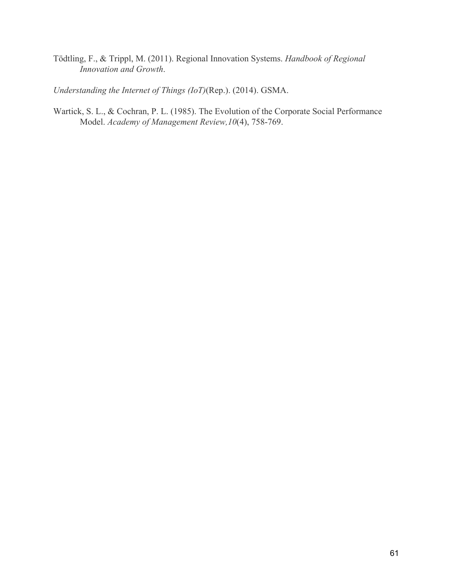Tödtling, F., & Trippl, M. (2011). Regional Innovation Systems. *Handbook of Regional Innovation and Growth*.

*Understanding the Internet of Things (IoT)*(Rep.). (2014). GSMA.

Wartick, S. L., & Cochran, P. L. (1985). The Evolution of the Corporate Social Performance Model. *Academy of Management Review,10*(4), 758-769.